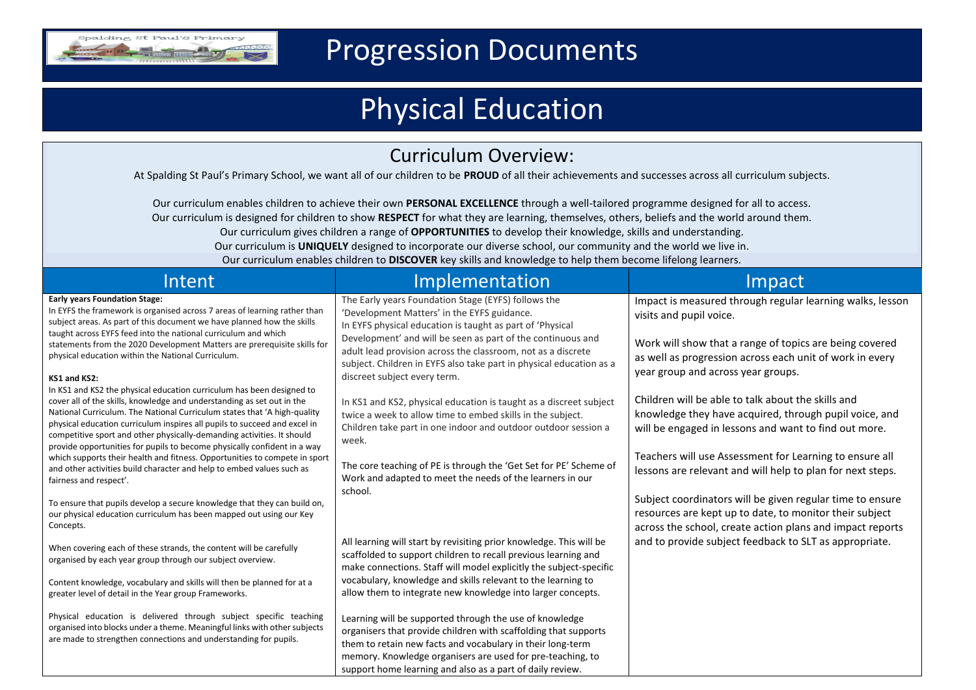

## Progression Documents

# Physical Education

|  | <b>Curriculum Overview:</b> |
|--|-----------------------------|
|--|-----------------------------|

At Spalding St Paul's Primary School, we want all of our children to be **PROUD** of all their achievements and successes across all curriculum subjects.

Our curriculum enables children to achieve their own **PERSONAL EXCELLENCE** through a well-tailored programme designed for all to access. Our curriculum is designed for children to show **RESPECT** for what they are learning, themselves, others, beliefs and the world around them. Our curriculum gives children a range of **OPPORTUNITIES** to develop their knowledge, skills and understanding. Our curriculum is **UNIQUELY** designed to incorporate our diverse school, our community and the world we live in. Our curriculum enables children to **DISCOVER** key skills and knowledge to help them become lifelong learners.

| Intent                                                                                                                                                                                                                                                                                                                                                                                          | Implementation                                                                                                                                                                                                                                                                                                      | Impact                                                                                                                                                                                                      |
|-------------------------------------------------------------------------------------------------------------------------------------------------------------------------------------------------------------------------------------------------------------------------------------------------------------------------------------------------------------------------------------------------|---------------------------------------------------------------------------------------------------------------------------------------------------------------------------------------------------------------------------------------------------------------------------------------------------------------------|-------------------------------------------------------------------------------------------------------------------------------------------------------------------------------------------------------------|
| <b>Early years Foundation Stage:</b><br>In EYFS the framework is organised across 7 areas of learning rather than<br>subject areas. As part of this document we have planned how the skills<br>taught across EYFS feed into the national curriculum and which<br>statements from the 2020 Development Matters are prerequisite skills for<br>physical education within the National Curriculum. | The Early years Foundation Stage (EYFS) follows the<br>'Development Matters' in the EYFS guidance.<br>In EYFS physical education is taught as part of 'Physical<br>Development' and will be seen as part of the continuous and<br>adult lead provision across the classroom, not as a discrete                      | Impact is measured through regular learning walks, lesson<br>visits and pupil voice.<br>Work will show that a range of topics are being covered<br>as well as progression across each unit of work in every |
| KS1 and KS2:<br>In KS1 and KS2 the physical education curriculum has been designed to                                                                                                                                                                                                                                                                                                           | subject. Children in EYFS also take part in physical education as a<br>discreet subject every term.                                                                                                                                                                                                                 | year group and across year groups.                                                                                                                                                                          |
| cover all of the skills, knowledge and understanding as set out in the<br>National Curriculum. The National Curriculum states that 'A high-quality<br>physical education curriculum inspires all pupils to succeed and excel in<br>competitive sport and other physically-demanding activities. It should<br>provide opportunities for pupils to become physically confident in a way           | In KS1 and KS2, physical education is taught as a discreet subject<br>twice a week to allow time to embed skills in the subject.<br>Children take part in one indoor and outdoor outdoor session a<br>week.                                                                                                         | Children will be able to talk about the skills and<br>knowledge they have acquired, through pupil voice, and<br>will be engaged in lessons and want to find out more.                                       |
| which supports their health and fitness. Opportunities to compete in sport<br>and other activities build character and help to embed values such as<br>fairness and respect'.                                                                                                                                                                                                                   | The core teaching of PE is through the 'Get Set for PE' Scheme of<br>Work and adapted to meet the needs of the learners in our<br>school.                                                                                                                                                                           | Teachers will use Assessment for Learning to ensure all<br>lessons are relevant and will help to plan for next steps.                                                                                       |
| To ensure that pupils develop a secure knowledge that they can build on,<br>our physical education curriculum has been mapped out using our Key<br>Concepts.                                                                                                                                                                                                                                    |                                                                                                                                                                                                                                                                                                                     | Subject coordinators will be given regular time to ensure<br>resources are kept up to date, to monitor their subject<br>across the school, create action plans and impact reports                           |
| When covering each of these strands, the content will be carefully<br>organised by each year group through our subject overview.                                                                                                                                                                                                                                                                | All learning will start by revisiting prior knowledge. This will be<br>scaffolded to support children to recall previous learning and<br>make connections. Staff will model explicitly the subject-specific                                                                                                         | and to provide subject feedback to SLT as appropriate.                                                                                                                                                      |
| Content knowledge, vocabulary and skills will then be planned for at a<br>greater level of detail in the Year group Frameworks.                                                                                                                                                                                                                                                                 | vocabulary, knowledge and skills relevant to the learning to<br>allow them to integrate new knowledge into larger concepts.                                                                                                                                                                                         |                                                                                                                                                                                                             |
| Physical education is delivered through subject specific teaching<br>organised into blocks under a theme. Meaningful links with other subjects<br>are made to strengthen connections and understanding for pupils.                                                                                                                                                                              | Learning will be supported through the use of knowledge<br>organisers that provide children with scaffolding that supports<br>them to retain new facts and vocabulary in their long-term<br>memory. Knowledge organisers are used for pre-teaching, to<br>support home learning and also as a part of daily review. |                                                                                                                                                                                                             |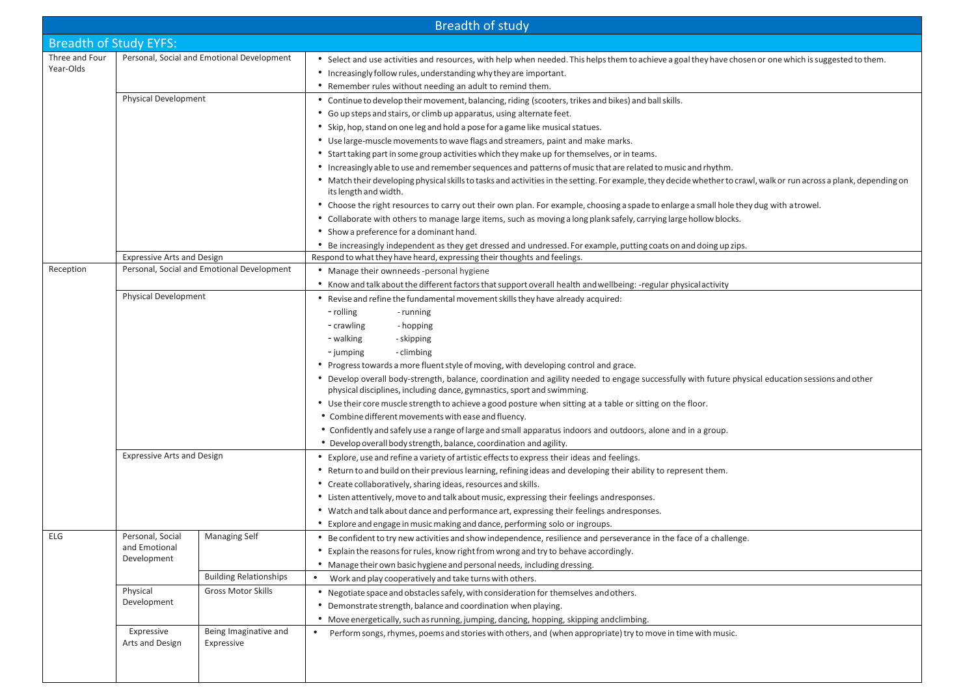| <b>Breadth of study</b>                                                                                                                                                                           |                                                  |                                                |                                                                                                                                                                                                                                                                                                                                                                                                                                                                                                                                                                                                                                                                                                                                                                                                                                                                                                                                                                                                                                                                                                                                                                                                                                                                                                                                                                                                                                                     |
|---------------------------------------------------------------------------------------------------------------------------------------------------------------------------------------------------|--------------------------------------------------|------------------------------------------------|-----------------------------------------------------------------------------------------------------------------------------------------------------------------------------------------------------------------------------------------------------------------------------------------------------------------------------------------------------------------------------------------------------------------------------------------------------------------------------------------------------------------------------------------------------------------------------------------------------------------------------------------------------------------------------------------------------------------------------------------------------------------------------------------------------------------------------------------------------------------------------------------------------------------------------------------------------------------------------------------------------------------------------------------------------------------------------------------------------------------------------------------------------------------------------------------------------------------------------------------------------------------------------------------------------------------------------------------------------------------------------------------------------------------------------------------------------|
| <b>Breadth of Study EYFS:</b>                                                                                                                                                                     |                                                  |                                                |                                                                                                                                                                                                                                                                                                                                                                                                                                                                                                                                                                                                                                                                                                                                                                                                                                                                                                                                                                                                                                                                                                                                                                                                                                                                                                                                                                                                                                                     |
| Three and Four<br>Year-Olds                                                                                                                                                                       |                                                  | Personal, Social and Emotional Development     | • Select and use activities and resources, with help when needed. This helps them to achieve a goal they have chosen or one which is suggested to them.<br>• Increasingly follow rules, understanding why they are important.<br>• Remember rules without needing an adult to remind them.                                                                                                                                                                                                                                                                                                                                                                                                                                                                                                                                                                                                                                                                                                                                                                                                                                                                                                                                                                                                                                                                                                                                                          |
| <b>Physical Development</b>                                                                                                                                                                       |                                                  |                                                | • Continue to develop their movement, balancing, riding (scooters, trikes and bikes) and ball skills.<br>• Go up steps and stairs, or climb up apparatus, using alternate feet.<br>• Skip, hop, stand on one leg and hold a pose for a game like musical statues.<br>• Use large-muscle movements to wave flags and streamers, paint and make marks.                                                                                                                                                                                                                                                                                                                                                                                                                                                                                                                                                                                                                                                                                                                                                                                                                                                                                                                                                                                                                                                                                                |
|                                                                                                                                                                                                   |                                                  |                                                | • Start taking part in some group activities which they make up for themselves, or in teams.<br>• Increasingly able to use and remember sequences and patterns of music that are related to music and rhythm.<br>• Match their developing physical skills to tasks and activities in the setting. For example, they decide whether to crawl, walk or run across a plank, depending on<br>its length and width.                                                                                                                                                                                                                                                                                                                                                                                                                                                                                                                                                                                                                                                                                                                                                                                                                                                                                                                                                                                                                                      |
|                                                                                                                                                                                                   |                                                  |                                                | • Choose the right resources to carry out their own plan. For example, choosing a spade to enlarge a small hole they dug with a trowel.<br>• Collaborate with others to manage large items, such as moving a long plank safely, carrying large hollow blocks.<br>• Show a preference for a dominant hand.<br>• Be increasingly independent as they get dressed and undressed. For example, putting coats on and doing up zips.                                                                                                                                                                                                                                                                                                                                                                                                                                                                                                                                                                                                                                                                                                                                                                                                                                                                                                                                                                                                                      |
|                                                                                                                                                                                                   | <b>Expressive Arts and Design</b>                |                                                | Respond to what they have heard, expressing their thoughts and feelings.                                                                                                                                                                                                                                                                                                                                                                                                                                                                                                                                                                                                                                                                                                                                                                                                                                                                                                                                                                                                                                                                                                                                                                                                                                                                                                                                                                            |
| Reception                                                                                                                                                                                         |                                                  | Personal, Social and Emotional Development     | • Manage their ownneeds -personal hygiene<br>• Know and talk about the different factors that support overall health and wellbeing: -regular physical activity                                                                                                                                                                                                                                                                                                                                                                                                                                                                                                                                                                                                                                                                                                                                                                                                                                                                                                                                                                                                                                                                                                                                                                                                                                                                                      |
| Physical Development<br><b>Expressive Arts and Design</b>                                                                                                                                         |                                                  |                                                | • Revise and refine the fundamental movement skills they have already acquired:<br>- rolling<br>- running<br>- crawling<br>- hopping<br>- walking<br>- skipping<br>- jumping<br>- climbing<br>• Progress towards a more fluent style of moving, with developing control and grace.<br>• Develop overall body-strength, balance, coordination and agility needed to engage successfully with future physical education sessions and other<br>physical disciplines, including dance, gymnastics, sport and swimming.<br>• Use their core muscle strength to achieve a good posture when sitting at a table or sitting on the floor.<br>• Combine different movements with ease and fluency.<br>• Confidently and safely use a range of large and small apparatus indoors and outdoors, alone and in a group.<br>• Develop overall body strength, balance, coordination and agility.<br>• Explore, use and refine a variety of artistic effects to express their ideas and feelings.<br>• Return to and build on their previous learning, refining ideas and developing their ability to represent them.<br>• Create collaboratively, sharing ideas, resources and skills.<br>• Listen attentively, move to and talk about music, expressing their feelings andresponses.<br>• Watch and talk about dance and performance art, expressing their feelings andresponses.<br>• Explore and engage in music making and dance, performing solo or ingroups. |
| ELG                                                                                                                                                                                               | Personal, Social<br>and Emotional<br>Development | Managing Self<br><b>Building Relationships</b> | • Be confident to try new activities and show independence, resilience and perseverance in the face of a challenge.<br>• Explain the reasons for rules, know right from wrong and try to behave accordingly.<br>• Manage their own basic hygiene and personal needs, including dressing.                                                                                                                                                                                                                                                                                                                                                                                                                                                                                                                                                                                                                                                                                                                                                                                                                                                                                                                                                                                                                                                                                                                                                            |
|                                                                                                                                                                                                   | Physical<br>Development                          | <b>Gross Motor Skills</b>                      | Work and play cooperatively and take turns with others.<br>• Negotiate space and obstacles safely, with consideration for themselves and others.<br>• Demonstrate strength, balance and coordination when playing.<br>• Move energetically, such as running, jumping, dancing, hopping, skipping andclimbing.                                                                                                                                                                                                                                                                                                                                                                                                                                                                                                                                                                                                                                                                                                                                                                                                                                                                                                                                                                                                                                                                                                                                       |
| Expressive<br>Being Imaginative and<br>Perform songs, rhymes, poems and stories with others, and (when appropriate) try to move in time with music.<br>$\bullet$<br>Arts and Design<br>Expressive |                                                  |                                                |                                                                                                                                                                                                                                                                                                                                                                                                                                                                                                                                                                                                                                                                                                                                                                                                                                                                                                                                                                                                                                                                                                                                                                                                                                                                                                                                                                                                                                                     |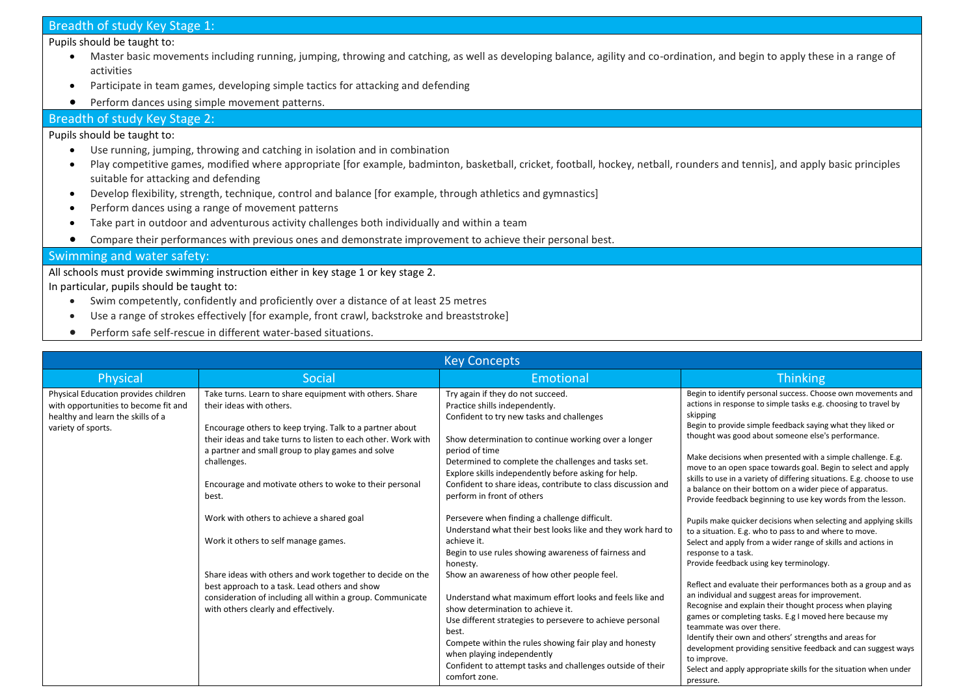### Breadth of study Key Stage 1:

Pupils should be taught to:

- Master basic movements including running, jumping, throwing and catching, as well as developing balance, agility and co-ordination, and begin to apply these in a range of activities
- Participate in team games, developing simple tactics for attacking and defending
- Perform dances using simple movement patterns.

#### Breadth of study Key Stage 2:

#### Pupils should be taught to:

- Use running, jumping, throwing and catching in isolation and in combination
- Play competitive games, modified where appropriate [for example, badminton, basketball, cricket, football, hockey, netball, rounders and tennis], and apply basic principles suitable for attacking and defending
- Develop flexibility, strength, technique, control and balance [for example, through athletics and gymnastics]
- Perform dances using a range of movement patterns
- Take part in outdoor and adventurous activity challenges both individually and within a team
- Compare their performances with previous ones and demonstrate improvement to achieve their personal best.

#### Swimming and water safety:

All schools must provide swimming instruction either in key stage 1 or key stage 2.

In particular, pupils should be taught to:

- Swim competently, confidently and proficiently over a distance of at least 25 metres
- Use a range of strokes effectively [for example, front crawl, backstroke and breaststroke]
- Perform safe self-rescue in different water-based situations.

|                                                                                                                                         | <b>Key Concepts</b>                                                                                                                                                                                                                                                                                                                                      |                                                                                                                                                                                                                                                                                                                                                                                                          |                                                                                                                                                                                                                                                                                                                                                                                                                                                                                                                                                                                                      |  |  |
|-----------------------------------------------------------------------------------------------------------------------------------------|----------------------------------------------------------------------------------------------------------------------------------------------------------------------------------------------------------------------------------------------------------------------------------------------------------------------------------------------------------|----------------------------------------------------------------------------------------------------------------------------------------------------------------------------------------------------------------------------------------------------------------------------------------------------------------------------------------------------------------------------------------------------------|------------------------------------------------------------------------------------------------------------------------------------------------------------------------------------------------------------------------------------------------------------------------------------------------------------------------------------------------------------------------------------------------------------------------------------------------------------------------------------------------------------------------------------------------------------------------------------------------------|--|--|
| Physical                                                                                                                                | Social                                                                                                                                                                                                                                                                                                                                                   | Emotional                                                                                                                                                                                                                                                                                                                                                                                                | Thinking                                                                                                                                                                                                                                                                                                                                                                                                                                                                                                                                                                                             |  |  |
| Physical Education provides children<br>with opportunities to become fit and<br>healthy and learn the skills of a<br>variety of sports. | Take turns. Learn to share equipment with others. Share<br>their ideas with others.<br>Encourage others to keep trying. Talk to a partner about<br>their ideas and take turns to listen to each other. Work with<br>a partner and small group to play games and solve<br>challenges.<br>Encourage and motivate others to woke to their personal<br>best. | Try again if they do not succeed.<br>Practice shills independently.<br>Confident to try new tasks and challenges<br>Show determination to continue working over a longer<br>period of time<br>Determined to complete the challenges and tasks set.<br>Explore skills independently before asking for help.<br>Confident to share ideas, contribute to class discussion and<br>perform in front of others | Begin to identify personal success. Choose own movements and<br>actions in response to simple tasks e.g. choosing to travel by<br>skipping<br>Begin to provide simple feedback saying what they liked or<br>thought was good about someone else's performance.<br>Make decisions when presented with a simple challenge. E.g.<br>move to an open space towards goal. Begin to select and apply<br>skills to use in a variety of differing situations. E.g. choose to use<br>a balance on their bottom on a wider piece of apparatus.<br>Provide feedback beginning to use key words from the lesson. |  |  |
|                                                                                                                                         | Work with others to achieve a shared goal<br>Work it others to self manage games.                                                                                                                                                                                                                                                                        | Persevere when finding a challenge difficult.<br>Understand what their best looks like and they work hard to<br>achieve it.<br>Begin to use rules showing awareness of fairness and<br>honesty.                                                                                                                                                                                                          | Pupils make quicker decisions when selecting and applying skills<br>to a situation. E.g. who to pass to and where to move.<br>Select and apply from a wider range of skills and actions in<br>response to a task.<br>Provide feedback using key terminology.                                                                                                                                                                                                                                                                                                                                         |  |  |
|                                                                                                                                         | Share ideas with others and work together to decide on the<br>best approach to a task. Lead others and show<br>consideration of including all within a group. Communicate<br>with others clearly and effectively.                                                                                                                                        | Show an awareness of how other people feel.<br>Understand what maximum effort looks and feels like and<br>show determination to achieve it.<br>Use different strategies to persevere to achieve personal<br>best.<br>Compete within the rules showing fair play and honesty<br>when playing independently<br>Confident to attempt tasks and challenges outside of their<br>comfort zone.                 | Reflect and evaluate their performances both as a group and as<br>an individual and suggest areas for improvement.<br>Recognise and explain their thought process when playing<br>games or completing tasks. E.g I moved here because my<br>teammate was over there.<br>Identify their own and others' strengths and areas for<br>development providing sensitive feedback and can suggest ways<br>to improve.<br>Select and apply appropriate skills for the situation when under<br>pressure.                                                                                                      |  |  |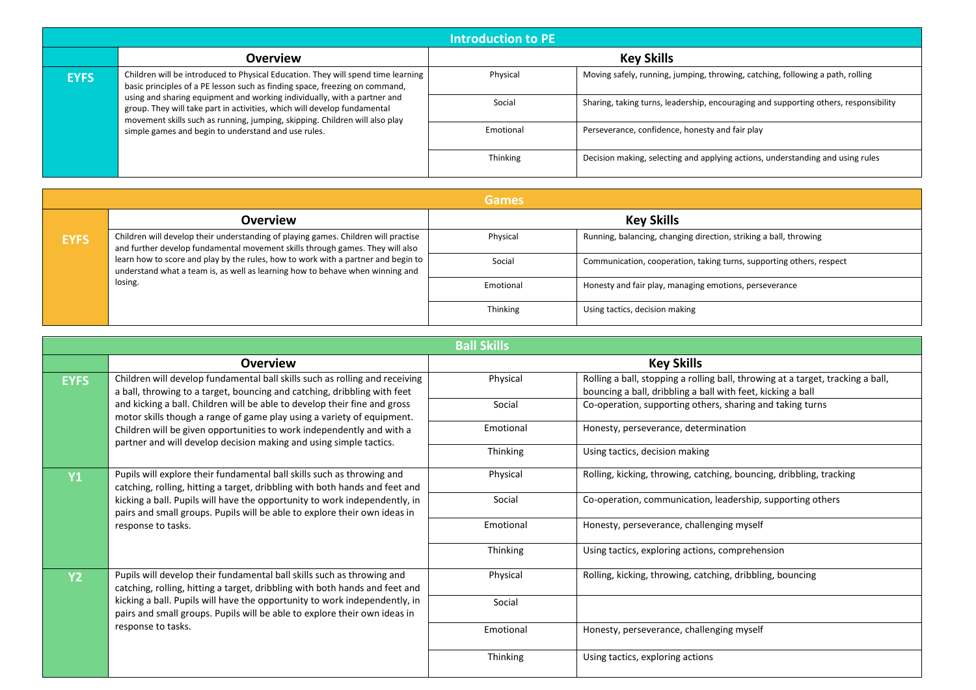| <b>Introduction to PE</b>                                                                                                                                                                                                                                                                                                                                                                                             |                                                     |                                                                                      |                                                                                |
|-----------------------------------------------------------------------------------------------------------------------------------------------------------------------------------------------------------------------------------------------------------------------------------------------------------------------------------------------------------------------------------------------------------------------|-----------------------------------------------------|--------------------------------------------------------------------------------------|--------------------------------------------------------------------------------|
|                                                                                                                                                                                                                                                                                                                                                                                                                       | <b>Overview</b>                                     |                                                                                      | <b>Key Skills</b>                                                              |
| Children will be introduced to Physical Education. They will spend time learning<br><b>EYFS</b><br>basic principles of a PE lesson such as finding space, freezing on command,<br>using and sharing equipment and working individually, with a partner and<br>group. They will take part in activities, which will develop fundamental<br>movement skills such as running, jumping, skipping. Children will also play | Physical                                            | Moving safely, running, jumping, throwing, catching, following a path, rolling       |                                                                                |
|                                                                                                                                                                                                                                                                                                                                                                                                                       | Social                                              | Sharing, taking turns, leadership, encouraging and supporting others, responsibility |                                                                                |
|                                                                                                                                                                                                                                                                                                                                                                                                                       | simple games and begin to understand and use rules. | Emotional                                                                            | Perseverance, confidence, honesty and fair play                                |
|                                                                                                                                                                                                                                                                                                                                                                                                                       |                                                     | Thinking                                                                             | Decision making, selecting and applying actions, understanding and using rules |

|             | <b>Games</b>                                                                                                                                                                  |           |                                                                      |  |
|-------------|-------------------------------------------------------------------------------------------------------------------------------------------------------------------------------|-----------|----------------------------------------------------------------------|--|
|             | <b>Overview</b>                                                                                                                                                               |           | <b>Key Skills</b>                                                    |  |
| <b>EYFS</b> | Children will develop their understanding of playing games. Children will practise<br>and further develop fundamental movement skills through games. They will also           | Physical  | Running, balancing, changing direction, striking a ball, throwing    |  |
|             | learn how to score and play by the rules, how to work with a partner and begin to<br>understand what a team is, as well as learning how to behave when winning and<br>losing. | Social    | Communication, cooperation, taking turns, supporting others, respect |  |
|             |                                                                                                                                                                               | Emotional | Honesty and fair play, managing emotions, perseverance               |  |
|             |                                                                                                                                                                               | Thinking  | Using tactics, decision making                                       |  |

| <b>Ball Skills</b>                                                                                                                                      |                                                                                                                                                         |           |                                                                                                                                                |
|---------------------------------------------------------------------------------------------------------------------------------------------------------|---------------------------------------------------------------------------------------------------------------------------------------------------------|-----------|------------------------------------------------------------------------------------------------------------------------------------------------|
|                                                                                                                                                         | <b>Overview</b>                                                                                                                                         |           | <b>Key Skills</b>                                                                                                                              |
| <b>EYFS</b>                                                                                                                                             | Children will develop fundamental ball skills such as rolling and receiving<br>a ball, throwing to a target, bouncing and catching, dribbling with feet | Physical  | Rolling a ball, stopping a rolling ball, throwing at a target, tracking a ball,<br>bouncing a ball, dribbling a ball with feet, kicking a ball |
|                                                                                                                                                         | and kicking a ball. Children will be able to develop their fine and gross<br>motor skills though a range of game play using a variety of equipment.     | Social    | Co-operation, supporting others, sharing and taking turns                                                                                      |
|                                                                                                                                                         | Children will be given opportunities to work independently and with a<br>partner and will develop decision making and using simple tactics.             | Emotional | Honesty, perseverance, determination                                                                                                           |
|                                                                                                                                                         |                                                                                                                                                         | Thinking  | Using tactics, decision making                                                                                                                 |
| <b>Y1</b>                                                                                                                                               | Pupils will explore their fundamental ball skills such as throwing and<br>catching, rolling, hitting a target, dribbling with both hands and feet and   | Physical  | Rolling, kicking, throwing, catching, bouncing, dribbling, tracking                                                                            |
|                                                                                                                                                         | kicking a ball. Pupils will have the opportunity to work independently, in<br>pairs and small groups. Pupils will be able to explore their own ideas in | Social    | Co-operation, communication, leadership, supporting others                                                                                     |
|                                                                                                                                                         | response to tasks.                                                                                                                                      | Emotional | Honesty, perseverance, challenging myself                                                                                                      |
|                                                                                                                                                         |                                                                                                                                                         | Thinking  | Using tactics, exploring actions, comprehension                                                                                                |
| <b>Y2</b>                                                                                                                                               | Pupils will develop their fundamental ball skills such as throwing and<br>catching, rolling, hitting a target, dribbling with both hands and feet and   | Physical  | Rolling, kicking, throwing, catching, dribbling, bouncing                                                                                      |
| kicking a ball. Pupils will have the opportunity to work independently, in<br>pairs and small groups. Pupils will be able to explore their own ideas in | Social                                                                                                                                                  |           |                                                                                                                                                |
|                                                                                                                                                         | response to tasks.                                                                                                                                      | Emotional | Honesty, perseverance, challenging myself                                                                                                      |
|                                                                                                                                                         |                                                                                                                                                         | Thinking  | Using tactics, exploring actions                                                                                                               |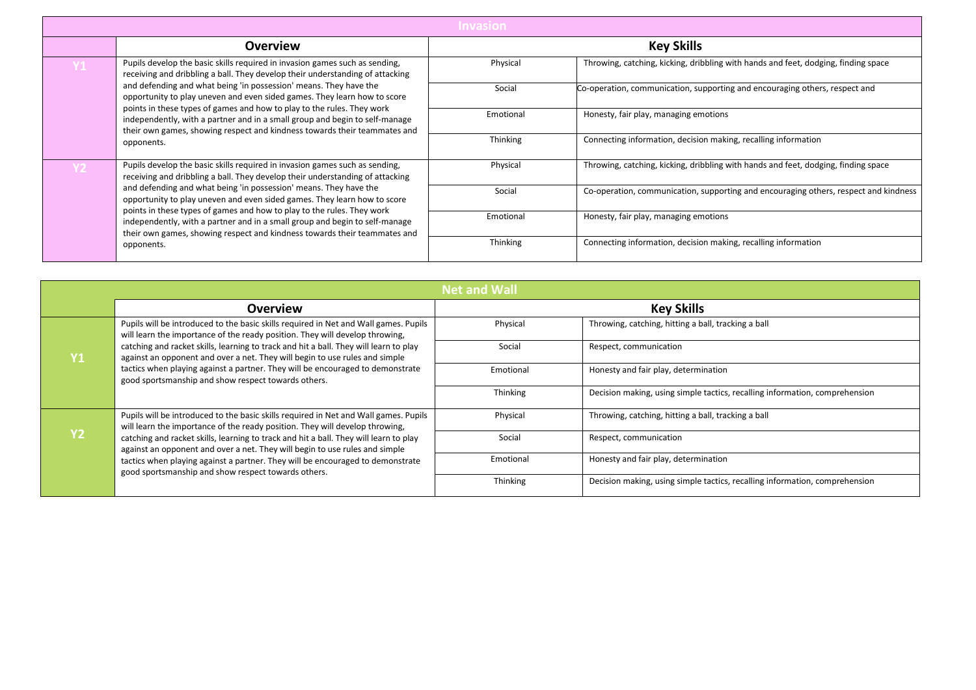|                                                                                                                                                                                                                                                                                                                                                                                                                                                                                                                                                            | <b>Invasion</b>                                                                                                                               |                                                                                      |                                                                             |
|------------------------------------------------------------------------------------------------------------------------------------------------------------------------------------------------------------------------------------------------------------------------------------------------------------------------------------------------------------------------------------------------------------------------------------------------------------------------------------------------------------------------------------------------------------|-----------------------------------------------------------------------------------------------------------------------------------------------|--------------------------------------------------------------------------------------|-----------------------------------------------------------------------------|
|                                                                                                                                                                                                                                                                                                                                                                                                                                                                                                                                                            | Overview                                                                                                                                      |                                                                                      | <b>Key Skills</b>                                                           |
| Pupils develop the basic skills required in invasion games such as sending,<br>receiving and dribbling a ball. They develop their understanding of attacking                                                                                                                                                                                                                                                                                                                                                                                               | Physical                                                                                                                                      | Throwing, catching, kicking, dribbling with hands and feet, dodging, finding space   |                                                                             |
|                                                                                                                                                                                                                                                                                                                                                                                                                                                                                                                                                            | and defending and what being 'in possession' means. They have the<br>opportunity to play uneven and even sided games. They learn how to score | Social                                                                               | Co-operation, communication, supporting and encouraging others, respect and |
| points in these types of games and how to play to the rules. They work<br>independently, with a partner and in a small group and begin to self-manage<br>their own games, showing respect and kindness towards their teammates and<br>opponents.                                                                                                                                                                                                                                                                                                           | Emotional                                                                                                                                     | Honesty, fair play, managing emotions                                                |                                                                             |
|                                                                                                                                                                                                                                                                                                                                                                                                                                                                                                                                                            | Thinking                                                                                                                                      | Connecting information, decision making, recalling information                       |                                                                             |
| Pupils develop the basic skills required in invasion games such as sending,<br>Y2.<br>receiving and dribbling a ball. They develop their understanding of attacking<br>and defending and what being 'in possession' means. They have the<br>opportunity to play uneven and even sided games. They learn how to score<br>points in these types of games and how to play to the rules. They work<br>independently, with a partner and in a small group and begin to self-manage<br>their own games, showing respect and kindness towards their teammates and | Physical                                                                                                                                      | Throwing, catching, kicking, dribbling with hands and feet, dodging, finding space   |                                                                             |
|                                                                                                                                                                                                                                                                                                                                                                                                                                                                                                                                                            | Social                                                                                                                                        | Co-operation, communication, supporting and encouraging others, respect and kindness |                                                                             |
|                                                                                                                                                                                                                                                                                                                                                                                                                                                                                                                                                            | Emotional                                                                                                                                     | Honesty, fair play, managing emotions                                                |                                                                             |
|                                                                                                                                                                                                                                                                                                                                                                                                                                                                                                                                                            | opponents.                                                                                                                                    | Thinking                                                                             | Connecting information, decision making, recalling information              |

| <b>Net and Wall</b>                                                                                                                                                                                                                                                                                                        |                                                                                                                                                                      |                                      |                                                                             |
|----------------------------------------------------------------------------------------------------------------------------------------------------------------------------------------------------------------------------------------------------------------------------------------------------------------------------|----------------------------------------------------------------------------------------------------------------------------------------------------------------------|--------------------------------------|-----------------------------------------------------------------------------|
|                                                                                                                                                                                                                                                                                                                            | <b>Overview</b>                                                                                                                                                      |                                      | <b>Key Skills</b>                                                           |
|                                                                                                                                                                                                                                                                                                                            | Pupils will be introduced to the basic skills required in Net and Wall games. Pupils<br>will learn the importance of the ready position. They will develop throwing, | Physical                             | Throwing, catching, hitting a ball, tracking a ball                         |
| Y1                                                                                                                                                                                                                                                                                                                         | catching and racket skills, learning to track and hit a ball. They will learn to play<br>against an opponent and over a net. They will begin to use rules and simple | Social                               | Respect, communication                                                      |
| tactics when playing against a partner. They will be encouraged to demonstrate<br>good sportsmanship and show respect towards others.                                                                                                                                                                                      | Emotional                                                                                                                                                            | Honesty and fair play, determination |                                                                             |
|                                                                                                                                                                                                                                                                                                                            |                                                                                                                                                                      | Thinking                             | Decision making, using simple tactics, recalling information, comprehension |
|                                                                                                                                                                                                                                                                                                                            | Pupils will be introduced to the basic skills required in Net and Wall games. Pupils<br>will learn the importance of the ready position. They will develop throwing, | Physical                             | Throwing, catching, hitting a ball, tracking a ball                         |
| <b>V2</b><br>catching and racket skills, learning to track and hit a ball. They will learn to play<br>against an opponent and over a net. They will begin to use rules and simple<br>tactics when playing against a partner. They will be encouraged to demonstrate<br>good sportsmanship and show respect towards others. | Social                                                                                                                                                               | Respect, communication               |                                                                             |
|                                                                                                                                                                                                                                                                                                                            | Emotional                                                                                                                                                            | Honesty and fair play, determination |                                                                             |
|                                                                                                                                                                                                                                                                                                                            |                                                                                                                                                                      | Thinking                             | Decision making, using simple tactics, recalling information, comprehension |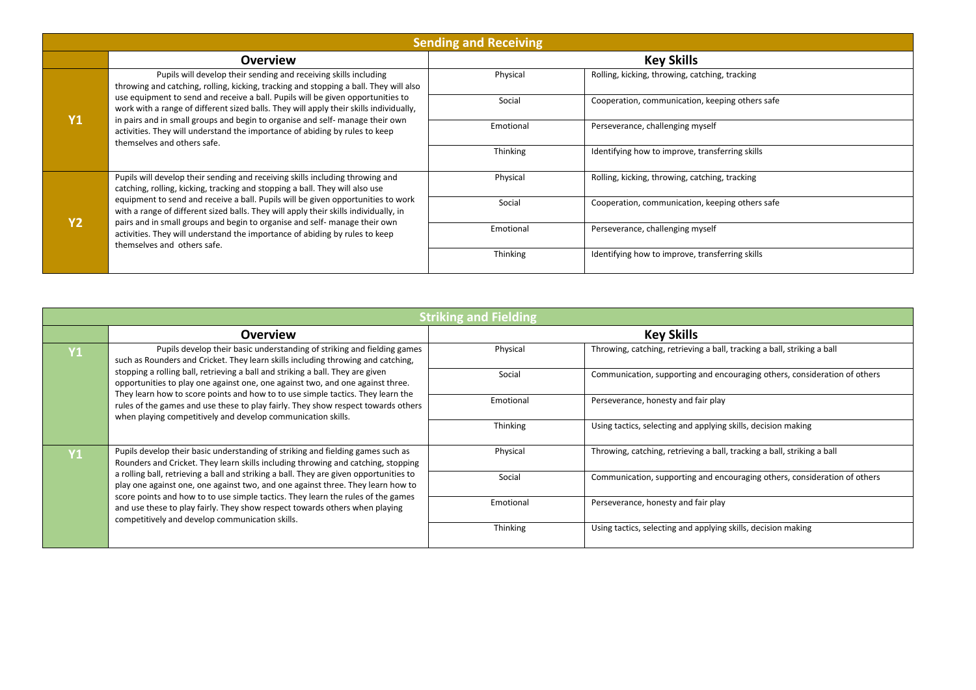|                                                                                                                                                                                                                                                                                                                                                                                                                                                                                                                                                    | <b>Sending and Receiving</b>                                                                                                                                              |                                                 |                                                 |  |
|----------------------------------------------------------------------------------------------------------------------------------------------------------------------------------------------------------------------------------------------------------------------------------------------------------------------------------------------------------------------------------------------------------------------------------------------------------------------------------------------------------------------------------------------------|---------------------------------------------------------------------------------------------------------------------------------------------------------------------------|-------------------------------------------------|-------------------------------------------------|--|
|                                                                                                                                                                                                                                                                                                                                                                                                                                                                                                                                                    | Overview                                                                                                                                                                  |                                                 | <b>Key Skills</b>                               |  |
| Pupils will develop their sending and receiving skills including<br>throwing and catching, rolling, kicking, tracking and stopping a ball. They will also                                                                                                                                                                                                                                                                                                                                                                                          | Physical                                                                                                                                                                  | Rolling, kicking, throwing, catching, tracking  |                                                 |  |
|                                                                                                                                                                                                                                                                                                                                                                                                                                                                                                                                                    | use equipment to send and receive a ball. Pupils will be given opportunities to<br>work with a range of different sized balls. They will apply their skills individually, | Social                                          | Cooperation, communication, keeping others safe |  |
| Y <sub>1</sub><br>in pairs and in small groups and begin to organise and self- manage their own<br>activities. They will understand the importance of abiding by rules to keep<br>themselves and others safe.                                                                                                                                                                                                                                                                                                                                      | Emotional                                                                                                                                                                 | Perseverance, challenging myself                |                                                 |  |
|                                                                                                                                                                                                                                                                                                                                                                                                                                                                                                                                                    | Thinking                                                                                                                                                                  | Identifying how to improve, transferring skills |                                                 |  |
| Pupils will develop their sending and receiving skills including throwing and<br>catching, rolling, kicking, tracking and stopping a ball. They will also use<br>equipment to send and receive a ball. Pupils will be given opportunities to work<br>with a range of different sized balls. They will apply their skills individually, in<br><b>Y2</b><br>pairs and in small groups and begin to organise and self- manage their own<br>activities. They will understand the importance of abiding by rules to keep<br>themselves and others safe. | Physical                                                                                                                                                                  | Rolling, kicking, throwing, catching, tracking  |                                                 |  |
|                                                                                                                                                                                                                                                                                                                                                                                                                                                                                                                                                    | Social                                                                                                                                                                    | Cooperation, communication, keeping others safe |                                                 |  |
|                                                                                                                                                                                                                                                                                                                                                                                                                                                                                                                                                    | Emotional                                                                                                                                                                 | Perseverance, challenging myself                |                                                 |  |
|                                                                                                                                                                                                                                                                                                                                                                                                                                                                                                                                                    |                                                                                                                                                                           | Thinking                                        | Identifying how to improve, transferring skills |  |

| <b>Striking and Fielding</b>                                                                                                                                                                                                                                                                                                                                                                                                                                                                                                                                                              |                                                                                                                                                                  |                                                                           |                                                                           |  |
|-------------------------------------------------------------------------------------------------------------------------------------------------------------------------------------------------------------------------------------------------------------------------------------------------------------------------------------------------------------------------------------------------------------------------------------------------------------------------------------------------------------------------------------------------------------------------------------------|------------------------------------------------------------------------------------------------------------------------------------------------------------------|---------------------------------------------------------------------------|---------------------------------------------------------------------------|--|
|                                                                                                                                                                                                                                                                                                                                                                                                                                                                                                                                                                                           | <b>Overview</b>                                                                                                                                                  |                                                                           | <b>Key Skills</b>                                                         |  |
| Pupils develop their basic understanding of striking and fielding games<br>$ {\sf Y1} $<br>such as Rounders and Cricket. They learn skills including throwing and catching,                                                                                                                                                                                                                                                                                                                                                                                                               | Physical                                                                                                                                                         | Throwing, catching, retrieving a ball, tracking a ball, striking a ball   |                                                                           |  |
|                                                                                                                                                                                                                                                                                                                                                                                                                                                                                                                                                                                           | stopping a rolling ball, retrieving a ball and striking a ball. They are given<br>opportunities to play one against one, one against two, and one against three. | Social                                                                    | Communication, supporting and encouraging others, consideration of others |  |
| They learn how to score points and how to to use simple tactics. They learn the<br>rules of the games and use these to play fairly. They show respect towards others<br>when playing competitively and develop communication skills.                                                                                                                                                                                                                                                                                                                                                      | Emotional                                                                                                                                                        | Perseverance, honesty and fair play                                       |                                                                           |  |
|                                                                                                                                                                                                                                                                                                                                                                                                                                                                                                                                                                                           | Thinking                                                                                                                                                         | Using tactics, selecting and applying skills, decision making             |                                                                           |  |
| Pupils develop their basic understanding of striking and fielding games such as<br>Y <sub>1</sub><br>Rounders and Cricket. They learn skills including throwing and catching, stopping<br>a rolling ball, retrieving a ball and striking a ball. They are given opportunities to<br>play one against one, one against two, and one against three. They learn how to<br>score points and how to to use simple tactics. They learn the rules of the games<br>and use these to play fairly. They show respect towards others when playing<br>competitively and develop communication skills. | Physical                                                                                                                                                         | Throwing, catching, retrieving a ball, tracking a ball, striking a ball   |                                                                           |  |
|                                                                                                                                                                                                                                                                                                                                                                                                                                                                                                                                                                                           | Social                                                                                                                                                           | Communication, supporting and encouraging others, consideration of others |                                                                           |  |
|                                                                                                                                                                                                                                                                                                                                                                                                                                                                                                                                                                                           | Emotional                                                                                                                                                        | Perseverance, honesty and fair play                                       |                                                                           |  |
|                                                                                                                                                                                                                                                                                                                                                                                                                                                                                                                                                                                           |                                                                                                                                                                  | Thinking                                                                  | Using tactics, selecting and applying skills, decision making             |  |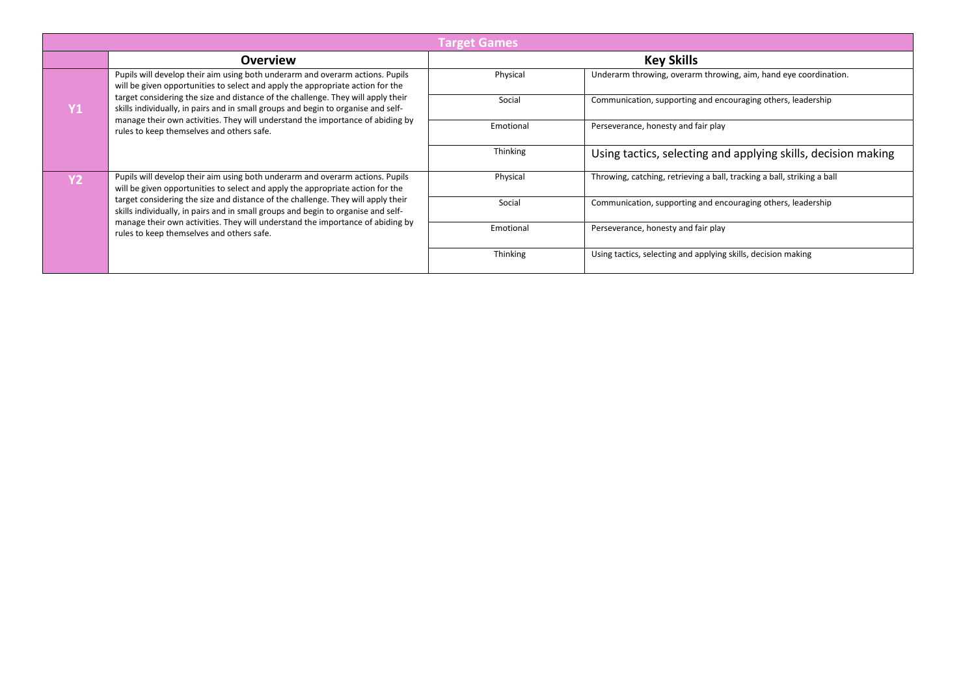|                                                                                                                                                                                                                                                                                                                                                                                                                                                                         | <b>Target Games</b>                                                                                                                                                   |                                                                         |                                                               |  |
|-------------------------------------------------------------------------------------------------------------------------------------------------------------------------------------------------------------------------------------------------------------------------------------------------------------------------------------------------------------------------------------------------------------------------------------------------------------------------|-----------------------------------------------------------------------------------------------------------------------------------------------------------------------|-------------------------------------------------------------------------|---------------------------------------------------------------|--|
|                                                                                                                                                                                                                                                                                                                                                                                                                                                                         | <b>Overview</b>                                                                                                                                                       |                                                                         | <b>Key Skills</b>                                             |  |
| Pupils will develop their aim using both underarm and overarm actions. Pupils<br>will be given opportunities to select and apply the appropriate action for the                                                                                                                                                                                                                                                                                                         | Physical                                                                                                                                                              | Underarm throwing, overarm throwing, aim, hand eye coordination.        |                                                               |  |
| <b>Y1</b>                                                                                                                                                                                                                                                                                                                                                                                                                                                               | target considering the size and distance of the challenge. They will apply their<br>skills individually, in pairs and in small groups and begin to organise and self- | Social                                                                  | Communication, supporting and encouraging others, leadership  |  |
|                                                                                                                                                                                                                                                                                                                                                                                                                                                                         | manage their own activities. They will understand the importance of abiding by<br>rules to keep themselves and others safe.                                           | Emotional                                                               | Perseverance, honesty and fair play                           |  |
|                                                                                                                                                                                                                                                                                                                                                                                                                                                                         |                                                                                                                                                                       | Thinking                                                                | Using tactics, selecting and applying skills, decision making |  |
| Pupils will develop their aim using both underarm and overarm actions. Pupils<br>will be given opportunities to select and apply the appropriate action for the<br>target considering the size and distance of the challenge. They will apply their<br>skills individually, in pairs and in small groups and begin to organise and self-<br>manage their own activities. They will understand the importance of abiding by<br>rules to keep themselves and others safe. | Physical                                                                                                                                                              | Throwing, catching, retrieving a ball, tracking a ball, striking a ball |                                                               |  |
|                                                                                                                                                                                                                                                                                                                                                                                                                                                                         | Social                                                                                                                                                                | Communication, supporting and encouraging others, leadership            |                                                               |  |
|                                                                                                                                                                                                                                                                                                                                                                                                                                                                         | Emotional                                                                                                                                                             | Perseverance, honesty and fair play                                     |                                                               |  |
|                                                                                                                                                                                                                                                                                                                                                                                                                                                                         |                                                                                                                                                                       | Thinking                                                                | Using tactics, selecting and applying skills, decision making |  |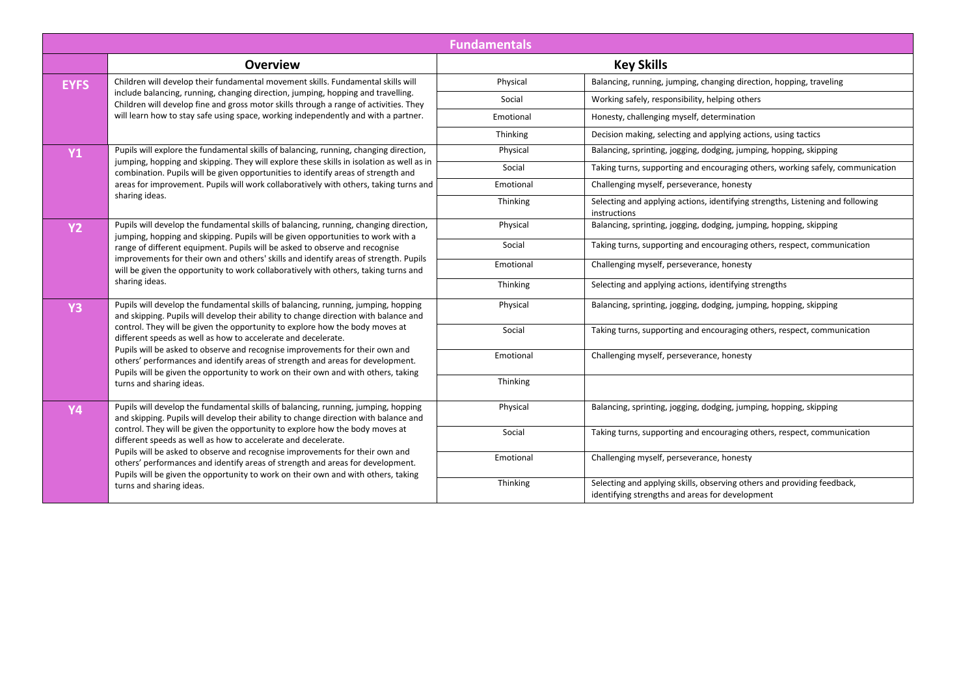|                                                                                                                                                                                                                                                                                 |                                                                                                                                                                                                                                                          | <b>Fundamentals</b>                                                                                                        |                                                                                                |
|---------------------------------------------------------------------------------------------------------------------------------------------------------------------------------------------------------------------------------------------------------------------------------|----------------------------------------------------------------------------------------------------------------------------------------------------------------------------------------------------------------------------------------------------------|----------------------------------------------------------------------------------------------------------------------------|------------------------------------------------------------------------------------------------|
|                                                                                                                                                                                                                                                                                 | <b>Overview</b>                                                                                                                                                                                                                                          |                                                                                                                            | <b>Key Skills</b>                                                                              |
| <b>EYFS</b>                                                                                                                                                                                                                                                                     | Children will develop their fundamental movement skills. Fundamental skills will                                                                                                                                                                         | Physical                                                                                                                   | Balancing, running, jumping, changing direction, hopping, traveling                            |
|                                                                                                                                                                                                                                                                                 | include balancing, running, changing direction, jumping, hopping and travelling.<br>Children will develop fine and gross motor skills through a range of activities. They                                                                                | Social                                                                                                                     | Working safely, responsibility, helping others                                                 |
|                                                                                                                                                                                                                                                                                 | will learn how to stay safe using space, working independently and with a partner.                                                                                                                                                                       | Emotional                                                                                                                  | Honesty, challenging myself, determination                                                     |
|                                                                                                                                                                                                                                                                                 |                                                                                                                                                                                                                                                          | Thinking                                                                                                                   | Decision making, selecting and applying actions, using tactics                                 |
| <b>Y1</b>                                                                                                                                                                                                                                                                       | Pupils will explore the fundamental skills of balancing, running, changing direction,                                                                                                                                                                    | Physical                                                                                                                   | Balancing, sprinting, jogging, dodging, jumping, hopping, skipping                             |
|                                                                                                                                                                                                                                                                                 | jumping, hopping and skipping. They will explore these skills in isolation as well as in<br>combination. Pupils will be given opportunities to identify areas of strength and                                                                            | Social                                                                                                                     | Taking turns, supporting and encouraging others, working safely, communication                 |
|                                                                                                                                                                                                                                                                                 | areas for improvement. Pupils will work collaboratively with others, taking turns and                                                                                                                                                                    | Emotional                                                                                                                  | Challenging myself, perseverance, honesty                                                      |
|                                                                                                                                                                                                                                                                                 | sharing ideas.                                                                                                                                                                                                                                           | Thinking                                                                                                                   | Selecting and applying actions, identifying strengths, Listening and following<br>instructions |
| <b>Y2</b>                                                                                                                                                                                                                                                                       | Pupils will develop the fundamental skills of balancing, running, changing direction,<br>jumping, hopping and skipping. Pupils will be given opportunities to work with a<br>range of different equipment. Pupils will be asked to observe and recognise | Physical                                                                                                                   | Balancing, sprinting, jogging, dodging, jumping, hopping, skipping                             |
|                                                                                                                                                                                                                                                                                 |                                                                                                                                                                                                                                                          | Social                                                                                                                     | Taking turns, supporting and encouraging others, respect, communication                        |
|                                                                                                                                                                                                                                                                                 | improvements for their own and others' skills and identify areas of strength. Pupils<br>will be given the opportunity to work collaboratively with others, taking turns and                                                                              | Emotional                                                                                                                  | Challenging myself, perseverance, honesty                                                      |
| sharing ideas.                                                                                                                                                                                                                                                                  |                                                                                                                                                                                                                                                          | Thinking                                                                                                                   | Selecting and applying actions, identifying strengths                                          |
| <b>Y3</b>                                                                                                                                                                                                                                                                       | Pupils will develop the fundamental skills of balancing, running, jumping, hopping<br>and skipping. Pupils will develop their ability to change direction with balance and                                                                               | Physical                                                                                                                   | Balancing, sprinting, jogging, dodging, jumping, hopping, skipping                             |
|                                                                                                                                                                                                                                                                                 | control. They will be given the opportunity to explore how the body moves at<br>different speeds as well as how to accelerate and decelerate.                                                                                                            | Social                                                                                                                     | Taking turns, supporting and encouraging others, respect, communication                        |
|                                                                                                                                                                                                                                                                                 | Pupils will be asked to observe and recognise improvements for their own and<br>others' performances and identify areas of strength and areas for development.<br>Pupils will be given the opportunity to work on their own and with others, taking      | Emotional                                                                                                                  | Challenging myself, perseverance, honesty                                                      |
| turns and sharing ideas.                                                                                                                                                                                                                                                        | Thinking                                                                                                                                                                                                                                                 |                                                                                                                            |                                                                                                |
| <b>Y4</b>                                                                                                                                                                                                                                                                       | Pupils will develop the fundamental skills of balancing, running, jumping, hopping<br>and skipping. Pupils will develop their ability to change direction with balance and                                                                               | Physical                                                                                                                   | Balancing, sprinting, jogging, dodging, jumping, hopping, skipping                             |
|                                                                                                                                                                                                                                                                                 | control. They will be given the opportunity to explore how the body moves at<br>different speeds as well as how to accelerate and decelerate.                                                                                                            | Social                                                                                                                     | Taking turns, supporting and encouraging others, respect, communication                        |
| Pupils will be asked to observe and recognise improvements for their own and<br>others' performances and identify areas of strength and areas for development.<br>Pupils will be given the opportunity to work on their own and with others, taking<br>turns and sharing ideas. | Emotional                                                                                                                                                                                                                                                | Challenging myself, perseverance, honesty                                                                                  |                                                                                                |
|                                                                                                                                                                                                                                                                                 | Thinking                                                                                                                                                                                                                                                 | Selecting and applying skills, observing others and providing feedback,<br>identifying strengths and areas for development |                                                                                                |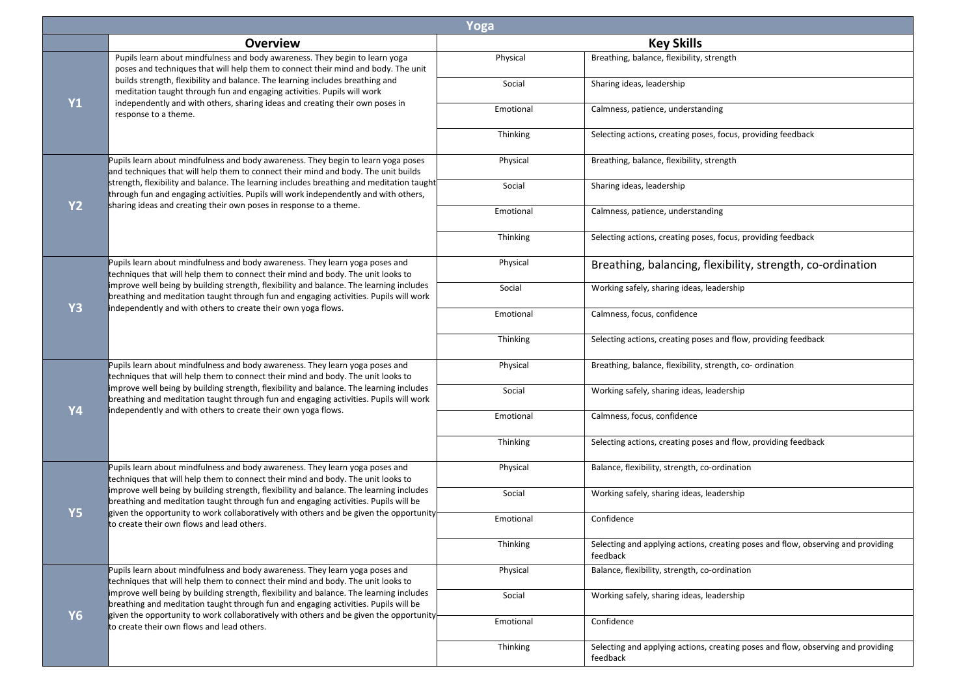| Yoga      |                                                                                                                                                                                                                                                                          |           |                                                                                              |
|-----------|--------------------------------------------------------------------------------------------------------------------------------------------------------------------------------------------------------------------------------------------------------------------------|-----------|----------------------------------------------------------------------------------------------|
|           | <b>Overview</b>                                                                                                                                                                                                                                                          |           | <b>Key Skills</b>                                                                            |
|           | Pupils learn about mindfulness and body awareness. They begin to learn yoga<br>poses and techniques that will help them to connect their mind and body. The unit                                                                                                         | Physical  | Breathing, balance, flexibility, strength                                                    |
| <b>Y1</b> | builds strength, flexibility and balance. The learning includes breathing and<br>meditation taught through fun and engaging activities. Pupils will work<br>independently and with others, sharing ideas and creating their own poses in                                 | Social    | Sharing ideas, leadership                                                                    |
|           | response to a theme.                                                                                                                                                                                                                                                     | Emotional | Calmness, patience, understanding                                                            |
|           |                                                                                                                                                                                                                                                                          | Thinking  | Selecting actions, creating poses, focus, providing feedback                                 |
|           | Pupils learn about mindfulness and body awareness. They begin to learn yoga poses<br>and techniques that will help them to connect their mind and body. The unit builds                                                                                                  | Physical  | Breathing, balance, flexibility, strength                                                    |
| <b>Y2</b> | strength, flexibility and balance. The learning includes breathing and meditation taught<br>through fun and engaging activities. Pupils will work independently and with others,<br>sharing ideas and creating their own poses in response to a theme.                   | Social    | Sharing ideas, leadership                                                                    |
|           |                                                                                                                                                                                                                                                                          | Emotional | Calmness, patience, understanding                                                            |
|           |                                                                                                                                                                                                                                                                          | Thinking  | Selecting actions, creating poses, focus, providing feedback                                 |
|           | Pupils learn about mindfulness and body awareness. They learn yoga poses and<br>techniques that will help them to connect their mind and body. The unit looks to                                                                                                         | Physical  | Breathing, balancing, flexibility, strength, co-ordination                                   |
| <b>Y3</b> | improve well being by building strength, flexibility and balance. The learning includes<br>breathing and meditation taught through fun and engaging activities. Pupils will work                                                                                         | Social    | Working safely, sharing ideas, leadership                                                    |
|           | independently and with others to create their own yoga flows.                                                                                                                                                                                                            | Emotional | Calmness, focus, confidence                                                                  |
|           |                                                                                                                                                                                                                                                                          | Thinking  | Selecting actions, creating poses and flow, providing feedback                               |
|           | Pupils learn about mindfulness and body awareness. They learn yoga poses and<br>techniques that will help them to connect their mind and body. The unit looks to                                                                                                         | Physical  | Breathing, balance, flexibility, strength, co- ordination                                    |
| <b>Y4</b> | improve well being by building strength, flexibility and balance. The learning includes<br>breathing and meditation taught through fun and engaging activities. Pupils will work<br>independently and with others to create their own yoga flows.                        | Social    | Working safely, sharing ideas, leadership                                                    |
|           |                                                                                                                                                                                                                                                                          | Emotional | Calmness, focus, confidence                                                                  |
|           |                                                                                                                                                                                                                                                                          | Thinking  | Selecting actions, creating poses and flow, providing feedback                               |
|           | Pupils learn about mindfulness and body awareness. They learn yoga poses and<br>techniques that will help them to connect their mind and body. The unit looks to                                                                                                         | Physical  | Balance, flexibility, strength, co-ordination                                                |
| <b>Y5</b> | improve well being by building strength, flexibility and balance. The learning includes<br>breathing and meditation taught through fun and engaging activities. Pupils will be<br>given the opportunity to work collaboratively with others and be given the opportunity | Social    | Working safely, sharing ideas, leadership                                                    |
|           | to create their own flows and lead others.                                                                                                                                                                                                                               | Emotional | Confidence                                                                                   |
|           |                                                                                                                                                                                                                                                                          | Thinking  | Selecting and applying actions, creating poses and flow, observing and providing<br>feedback |
|           | Pupils learn about mindfulness and body awareness. They learn yoga poses and<br>techniques that will help them to connect their mind and body. The unit looks to                                                                                                         | Physical  | Balance, flexibility, strength, co-ordination                                                |
| <b>Y6</b> | improve well being by building strength, flexibility and balance. The learning includes<br>breathing and meditation taught through fun and engaging activities. Pupils will be<br>given the opportunity to work collaboratively with others and be given the opportunity | Social    | Working safely, sharing ideas, leadership                                                    |
|           | to create their own flows and lead others.                                                                                                                                                                                                                               | Emotional | Confidence                                                                                   |
|           |                                                                                                                                                                                                                                                                          | Thinking  | Selecting and applying actions, creating poses and flow, observing and providing<br>feedback |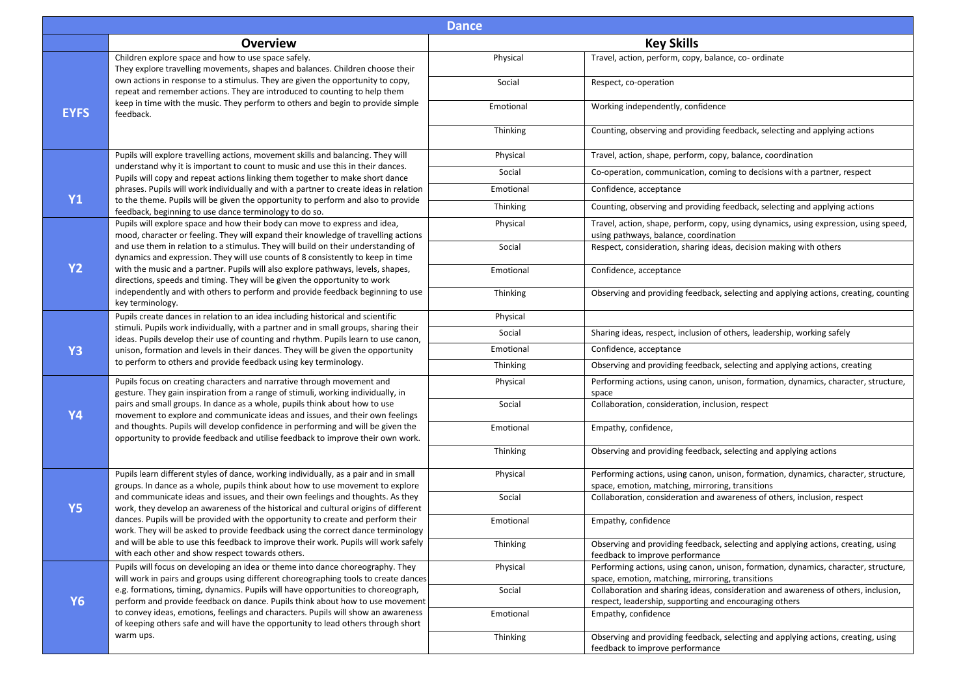| <b>Dance</b> |                                                                                                                                                                                                                                                                                                                                                                                                                                                                                                 |           |                                                                                                                                              |
|--------------|-------------------------------------------------------------------------------------------------------------------------------------------------------------------------------------------------------------------------------------------------------------------------------------------------------------------------------------------------------------------------------------------------------------------------------------------------------------------------------------------------|-----------|----------------------------------------------------------------------------------------------------------------------------------------------|
|              | <b>Overview</b>                                                                                                                                                                                                                                                                                                                                                                                                                                                                                 |           | <b>Key Skills</b>                                                                                                                            |
|              | Children explore space and how to use space safely.<br>They explore travelling movements, shapes and balances. Children choose their<br>own actions in response to a stimulus. They are given the opportunity to copy,<br>repeat and remember actions. They are introduced to counting to help them                                                                                                                                                                                             | Physical  | Travel, action, perform, copy, balance, co- ordinate                                                                                         |
|              |                                                                                                                                                                                                                                                                                                                                                                                                                                                                                                 | Social    | Respect, co-operation                                                                                                                        |
| <b>EYFS</b>  | keep in time with the music. They perform to others and begin to provide simple<br>feedback.                                                                                                                                                                                                                                                                                                                                                                                                    | Emotional | Working independently, confidence                                                                                                            |
|              |                                                                                                                                                                                                                                                                                                                                                                                                                                                                                                 | Thinking  | Counting, observing and providing feedback, selecting and applying actions                                                                   |
|              | Pupils will explore travelling actions, movement skills and balancing. They will                                                                                                                                                                                                                                                                                                                                                                                                                | Physical  | Travel, action, shape, perform, copy, balance, coordination                                                                                  |
|              | understand why it is important to count to music and use this in their dances.<br>Pupils will copy and repeat actions linking them together to make short dance                                                                                                                                                                                                                                                                                                                                 | Social    | Co-operation, communication, coming to decisions with a partner, respect                                                                     |
| <b>Y1</b>    | phrases. Pupils will work individually and with a partner to create ideas in relation<br>to the theme. Pupils will be given the opportunity to perform and also to provide                                                                                                                                                                                                                                                                                                                      | Emotional | Confidence, acceptance                                                                                                                       |
|              | feedback, beginning to use dance terminology to do so.                                                                                                                                                                                                                                                                                                                                                                                                                                          | Thinking  | Counting, observing and providing feedback, selecting and applying actions                                                                   |
|              | Pupils will explore space and how their body can move to express and idea,<br>mood, character or feeling. They will expand their knowledge of travelling actions                                                                                                                                                                                                                                                                                                                                | Physical  | Travel, action, shape, perform, copy, using dynamics, using expression, using speed,<br>using pathways, balance, coordination                |
|              | and use them in relation to a stimulus. They will build on their understanding of<br>dynamics and expression. They will use counts of 8 consistently to keep in time                                                                                                                                                                                                                                                                                                                            | Social    | Respect, consideration, sharing ideas, decision making with others                                                                           |
| <b>Y2</b>    | with the music and a partner. Pupils will also explore pathways, levels, shapes,<br>directions, speeds and timing. They will be given the opportunity to work<br>independently and with others to perform and provide feedback beginning to use<br>key terminology.                                                                                                                                                                                                                             | Emotional | Confidence, acceptance                                                                                                                       |
|              |                                                                                                                                                                                                                                                                                                                                                                                                                                                                                                 | Thinking  | Observing and providing feedback, selecting and applying actions, creating, counting                                                         |
|              | Pupils create dances in relation to an idea including historical and scientific<br>stimuli. Pupils work individually, with a partner and in small groups, sharing their<br>ideas. Pupils develop their use of counting and rhythm. Pupils learn to use canon,<br>unison, formation and levels in their dances. They will be given the opportunity                                                                                                                                               | Physical  |                                                                                                                                              |
|              |                                                                                                                                                                                                                                                                                                                                                                                                                                                                                                 | Social    | Sharing ideas, respect, inclusion of others, leadership, working safely                                                                      |
| <b>Y3</b>    |                                                                                                                                                                                                                                                                                                                                                                                                                                                                                                 | Emotional | Confidence, acceptance                                                                                                                       |
|              | to perform to others and provide feedback using key terminology.                                                                                                                                                                                                                                                                                                                                                                                                                                | Thinking  | Observing and providing feedback, selecting and applying actions, creating                                                                   |
|              | Pupils focus on creating characters and narrative through movement and<br>gesture. They gain inspiration from a range of stimuli, working individually, in<br>pairs and small groups. In dance as a whole, pupils think about how to use<br>movement to explore and communicate ideas and issues, and their own feelings<br>and thoughts. Pupils will develop confidence in performing and will be given the<br>opportunity to provide feedback and utilise feedback to improve their own work. | Physical  | Performing actions, using canon, unison, formation, dynamics, character, structure,<br>space                                                 |
| <b>Y4</b>    |                                                                                                                                                                                                                                                                                                                                                                                                                                                                                                 | Social    | Collaboration, consideration, inclusion, respect                                                                                             |
|              |                                                                                                                                                                                                                                                                                                                                                                                                                                                                                                 | Emotional | Empathy, confidence,                                                                                                                         |
|              |                                                                                                                                                                                                                                                                                                                                                                                                                                                                                                 | Thinking  | Observing and providing feedback, selecting and applying actions                                                                             |
|              | Pupils learn different styles of dance, working individually, as a pair and in small<br>groups. In dance as a whole, pupils think about how to use movement to explore                                                                                                                                                                                                                                                                                                                          | Physical  | Performing actions, using canon, unison, formation, dynamics, character, structure,<br>space, emotion, matching, mirroring, transitions      |
| <b>Y5</b>    | and communicate ideas and issues, and their own feelings and thoughts. As they<br>work, they develop an awareness of the historical and cultural origins of different                                                                                                                                                                                                                                                                                                                           | Social    | Collaboration, consideration and awareness of others, inclusion, respect                                                                     |
|              | dances. Pupils will be provided with the opportunity to create and perform their<br>work. They will be asked to provide feedback using the correct dance terminology                                                                                                                                                                                                                                                                                                                            | Emotional | Empathy, confidence                                                                                                                          |
|              | and will be able to use this feedback to improve their work. Pupils will work safely<br>with each other and show respect towards others.                                                                                                                                                                                                                                                                                                                                                        | Thinking  | Observing and providing feedback, selecting and applying actions, creating, using<br>feedback to improve performance                         |
|              | Pupils will focus on developing an idea or theme into dance choreography. They<br>will work in pairs and groups using different choreographing tools to create dances                                                                                                                                                                                                                                                                                                                           | Physical  | Performing actions, using canon, unison, formation, dynamics, character, structure,<br>space, emotion, matching, mirroring, transitions      |
| <b>Y6</b>    | e.g. formations, timing, dynamics. Pupils will have opportunities to choreograph,<br>perform and provide feedback on dance. Pupils think about how to use movement                                                                                                                                                                                                                                                                                                                              | Social    | Collaboration and sharing ideas, consideration and awareness of others, inclusion,<br>respect, leadership, supporting and encouraging others |
|              | to convey ideas, emotions, feelings and characters. Pupils will show an awareness<br>of keeping others safe and will have the opportunity to lead others through short                                                                                                                                                                                                                                                                                                                          | Emotional | Empathy, confidence                                                                                                                          |
|              | warm ups.                                                                                                                                                                                                                                                                                                                                                                                                                                                                                       | Thinking  | Observing and providing feedback, selecting and applying actions, creating, using<br>feedback to improve performance                         |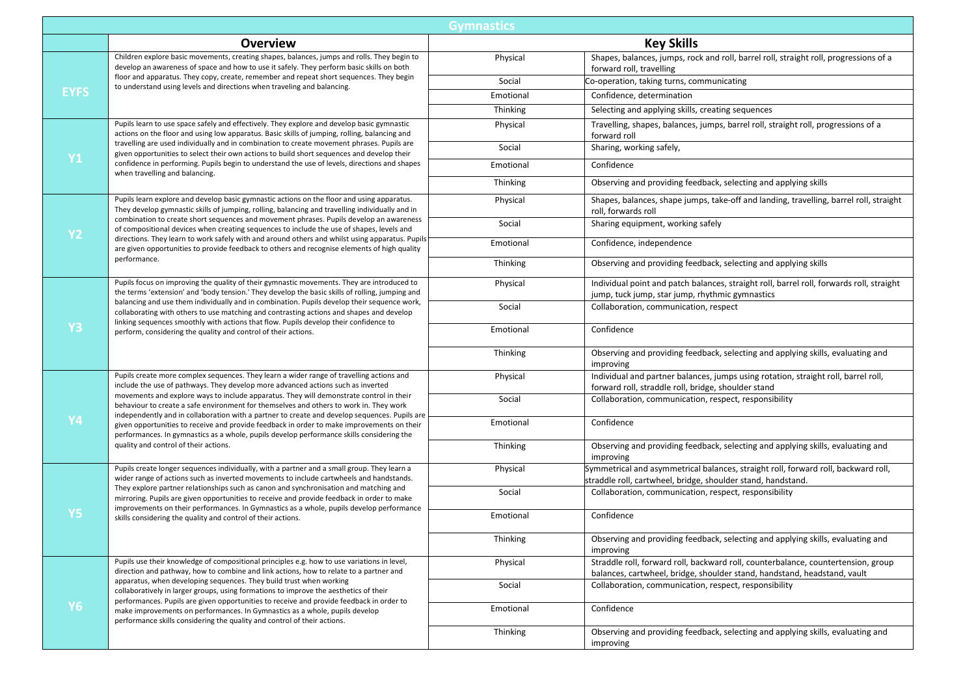| <b>Gymnastics</b> |                                                                                                                                                                                                                                                                                                                                                                                                                                                                                                                                                                                                                                                                                                        |           |                                                                                                                                                               |
|-------------------|--------------------------------------------------------------------------------------------------------------------------------------------------------------------------------------------------------------------------------------------------------------------------------------------------------------------------------------------------------------------------------------------------------------------------------------------------------------------------------------------------------------------------------------------------------------------------------------------------------------------------------------------------------------------------------------------------------|-----------|---------------------------------------------------------------------------------------------------------------------------------------------------------------|
|                   | <b>Overview</b>                                                                                                                                                                                                                                                                                                                                                                                                                                                                                                                                                                                                                                                                                        |           | <b>Key Skills</b>                                                                                                                                             |
|                   | Children explore basic movements, creating shapes, balances, jumps and rolls. They begin to<br>develop an awareness of space and how to use it safely. They perform basic skills on both                                                                                                                                                                                                                                                                                                                                                                                                                                                                                                               | Physical  | Shapes, balances, jumps, rock and roll, barrel roll, straight roll, progressions of a<br>forward roll, travelling                                             |
|                   | floor and apparatus. They copy, create, remember and repeat short sequences. They begin<br>to understand using levels and directions when traveling and balancing.                                                                                                                                                                                                                                                                                                                                                                                                                                                                                                                                     | Social    | Co-operation, taking turns, communicating                                                                                                                     |
| <b>EYFS</b>       |                                                                                                                                                                                                                                                                                                                                                                                                                                                                                                                                                                                                                                                                                                        | Emotional | Confidence, determination                                                                                                                                     |
|                   |                                                                                                                                                                                                                                                                                                                                                                                                                                                                                                                                                                                                                                                                                                        | Thinking  | Selecting and applying skills, creating sequences                                                                                                             |
|                   | Pupils learn to use space safely and effectively. They explore and develop basic gymnastic<br>actions on the floor and using low apparatus. Basic skills of jumping, rolling, balancing and                                                                                                                                                                                                                                                                                                                                                                                                                                                                                                            | Physical  | Travelling, shapes, balances, jumps, barrel roll, straight roll, progressions of a<br>forward roll                                                            |
|                   | travelling are used individually and in combination to create movement phrases. Pupils are<br>given opportunities to select their own actions to build short sequences and develop their                                                                                                                                                                                                                                                                                                                                                                                                                                                                                                               | Social    | Sharing, working safely,                                                                                                                                      |
| <b>Y1</b>         | confidence in performing. Pupils begin to understand the use of levels, directions and shapes<br>when travelling and balancing.                                                                                                                                                                                                                                                                                                                                                                                                                                                                                                                                                                        | Emotional | Confidence                                                                                                                                                    |
|                   |                                                                                                                                                                                                                                                                                                                                                                                                                                                                                                                                                                                                                                                                                                        | Thinking  | Observing and providing feedback, selecting and applying skills                                                                                               |
|                   | Pupils learn explore and develop basic gymnastic actions on the floor and using apparatus.<br>They develop gymnastic skills of jumping, rolling, balancing and travelling individually and in                                                                                                                                                                                                                                                                                                                                                                                                                                                                                                          | Physical  | Shapes, balances, shape jumps, take-off and landing, travelling, barrel roll, straight<br>roll, forwards roll                                                 |
| <b>Y2</b>         | combination to create short sequences and movement phrases. Pupils develop an awareness<br>of compositional devices when creating sequences to include the use of shapes, levels and                                                                                                                                                                                                                                                                                                                                                                                                                                                                                                                   | Social    | Sharing equipment, working safely                                                                                                                             |
|                   | directions. They learn to work safely with and around others and whilst using apparatus. Pupils<br>are given opportunities to provide feedback to others and recognise elements of high quality                                                                                                                                                                                                                                                                                                                                                                                                                                                                                                        | Emotional | Confidence, independence                                                                                                                                      |
|                   | performance.                                                                                                                                                                                                                                                                                                                                                                                                                                                                                                                                                                                                                                                                                           | Thinking  | Observing and providing feedback, selecting and applying skills                                                                                               |
|                   | Pupils focus on improving the quality of their gymnastic movements. They are introduced to<br>the terms 'extension' and 'body tension.' They develop the basic skills of rolling, jumping and<br>balancing and use them individually and in combination. Pupils develop their sequence work,<br>collaborating with others to use matching and contrasting actions and shapes and develop<br>linking sequences smoothly with actions that flow. Pupils develop their confidence to<br>perform, considering the quality and control of their actions.                                                                                                                                                    | Physical  | Individual point and patch balances, straight roll, barrel roll, forwards roll, straight<br>jump, tuck jump, star jump, rhythmic gymnastics                   |
|                   |                                                                                                                                                                                                                                                                                                                                                                                                                                                                                                                                                                                                                                                                                                        | Social    | Collaboration, communication, respect                                                                                                                         |
| Y <sub>3</sub>    |                                                                                                                                                                                                                                                                                                                                                                                                                                                                                                                                                                                                                                                                                                        | Emotional | Confidence                                                                                                                                                    |
|                   |                                                                                                                                                                                                                                                                                                                                                                                                                                                                                                                                                                                                                                                                                                        | Thinking  | Observing and providing feedback, selecting and applying skills, evaluating and<br>improving                                                                  |
|                   | Pupils create more complex sequences. They learn a wider range of travelling actions and<br>include the use of pathways. They develop more advanced actions such as inverted<br>movements and explore ways to include apparatus. They will demonstrate control in their<br>behaviour to create a safe environment for themselves and others to work in. They work<br>independently and in collaboration with a partner to create and develop sequences. Pupils are<br>given opportunities to receive and provide feedback in order to make improvements on their<br>performances. In gymnastics as a whole, pupils develop performance skills considering the<br>quality and control of their actions. | Physical  | Individual and partner balances, jumps using rotation, straight roll, barrel roll,<br>forward roll, straddle roll, bridge, shoulder stand                     |
|                   |                                                                                                                                                                                                                                                                                                                                                                                                                                                                                                                                                                                                                                                                                                        | Social    | Collaboration, communication, respect, responsibility                                                                                                         |
| Y4                |                                                                                                                                                                                                                                                                                                                                                                                                                                                                                                                                                                                                                                                                                                        | Emotional | Confidence                                                                                                                                                    |
|                   |                                                                                                                                                                                                                                                                                                                                                                                                                                                                                                                                                                                                                                                                                                        | Thinking  | Observing and providing feedback, selecting and applying skills, evaluating and<br>improving                                                                  |
|                   | Pupils create longer sequences individually, with a partner and a small group. They learn a<br>wider range of actions such as inverted movements to include cartwheels and handstands.                                                                                                                                                                                                                                                                                                                                                                                                                                                                                                                 | Physical  | Symmetrical and asymmetrical balances, straight roll, forward roll, backward roll,<br>straddle roll, cartwheel, bridge, shoulder stand, handstand.            |
|                   | They explore partner relationships such as canon and synchronisation and matching and<br>mirroring. Pupils are given opportunities to receive and provide feedback in order to make<br>improvements on their performances. In Gymnastics as a whole, pupils develop performance                                                                                                                                                                                                                                                                                                                                                                                                                        | Social    | Collaboration, communication, respect, responsibility                                                                                                         |
| Y5                | skills considering the quality and control of their actions.                                                                                                                                                                                                                                                                                                                                                                                                                                                                                                                                                                                                                                           | Emotional | Confidence                                                                                                                                                    |
|                   |                                                                                                                                                                                                                                                                                                                                                                                                                                                                                                                                                                                                                                                                                                        | Thinking  | Observing and providing feedback, selecting and applying skills, evaluating and<br>improving                                                                  |
|                   | Pupils use their knowledge of compositional principles e.g. how to use variations in level,<br>direction and pathway, how to combine and link actions, how to relate to a partner and                                                                                                                                                                                                                                                                                                                                                                                                                                                                                                                  | Physical  | Straddle roll, forward roll, backward roll, counterbalance, countertension, group<br>balances, cartwheel, bridge, shoulder stand, handstand, headstand, vault |
|                   | apparatus, when developing sequences. They build trust when working<br>collaboratively in larger groups, using formations to improve the aesthetics of their                                                                                                                                                                                                                                                                                                                                                                                                                                                                                                                                           | Social    | Collaboration, communication, respect, responsibility                                                                                                         |
| <b>Y6</b>         | performances. Pupils are given opportunities to receive and provide feedback in order to<br>make improvements on performances. In Gymnastics as a whole, pupils develop<br>performance skills considering the quality and control of their actions.                                                                                                                                                                                                                                                                                                                                                                                                                                                    | Emotional | Confidence                                                                                                                                                    |
|                   |                                                                                                                                                                                                                                                                                                                                                                                                                                                                                                                                                                                                                                                                                                        | Thinking  | Observing and providing feedback, selecting and applying skills, evaluating and<br>improving                                                                  |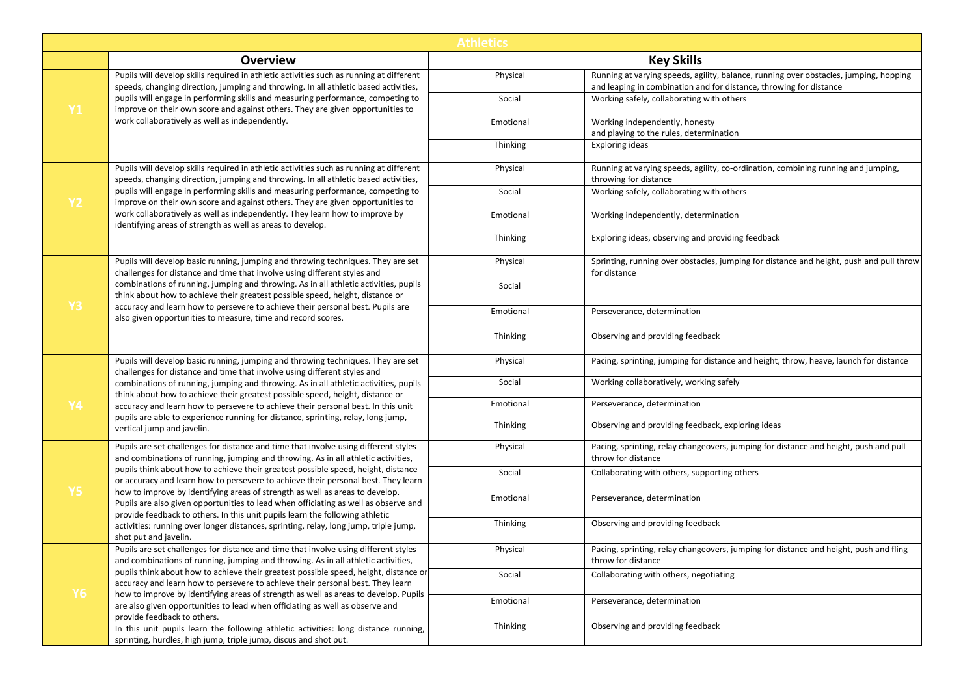| <b>Athletics</b> |                                                                                                                                                                                                                                                                                                                                               |           |                                                                                                                                                             |
|------------------|-----------------------------------------------------------------------------------------------------------------------------------------------------------------------------------------------------------------------------------------------------------------------------------------------------------------------------------------------|-----------|-------------------------------------------------------------------------------------------------------------------------------------------------------------|
|                  | <b>Overview</b>                                                                                                                                                                                                                                                                                                                               |           | <b>Key Skills</b>                                                                                                                                           |
|                  | Pupils will develop skills required in athletic activities such as running at different<br>speeds, changing direction, jumping and throwing. In all athletic based activities,                                                                                                                                                                | Physical  | Running at varying speeds, agility, balance, running over obstacles, jumping, hopping<br>and leaping in combination and for distance, throwing for distance |
| <b>Y1</b>        | pupils will engage in performing skills and measuring performance, competing to<br>improve on their own score and against others. They are given opportunities to                                                                                                                                                                             | Social    | Working safely, collaborating with others                                                                                                                   |
|                  | work collaboratively as well as independently.                                                                                                                                                                                                                                                                                                | Emotional | Working independently, honesty<br>and playing to the rules, determination                                                                                   |
|                  |                                                                                                                                                                                                                                                                                                                                               | Thinking  | Exploring ideas                                                                                                                                             |
|                  | Pupils will develop skills required in athletic activities such as running at different<br>speeds, changing direction, jumping and throwing. In all athletic based activities,                                                                                                                                                                | Physical  | Running at varying speeds, agility, co-ordination, combining running and jumping,<br>throwing for distance                                                  |
| <b>Y2</b>        | pupils will engage in performing skills and measuring performance, competing to<br>improve on their own score and against others. They are given opportunities to                                                                                                                                                                             | Social    | Working safely, collaborating with others                                                                                                                   |
|                  | work collaboratively as well as independently. They learn how to improve by<br>identifying areas of strength as well as areas to develop.                                                                                                                                                                                                     | Emotional | Working independently, determination                                                                                                                        |
|                  |                                                                                                                                                                                                                                                                                                                                               | Thinking  | Exploring ideas, observing and providing feedback                                                                                                           |
|                  | Pupils will develop basic running, jumping and throwing techniques. They are set<br>challenges for distance and time that involve using different styles and                                                                                                                                                                                  | Physical  | Sprinting, running over obstacles, jumping for distance and height, push and pull throw<br>for distance                                                     |
|                  | combinations of running, jumping and throwing. As in all athletic activities, pupils<br>think about how to achieve their greatest possible speed, height, distance or                                                                                                                                                                         | Social    |                                                                                                                                                             |
| Y3               | accuracy and learn how to persevere to achieve their personal best. Pupils are<br>also given opportunities to measure, time and record scores.                                                                                                                                                                                                | Emotional | Perseverance, determination                                                                                                                                 |
|                  |                                                                                                                                                                                                                                                                                                                                               | Thinking  | Observing and providing feedback                                                                                                                            |
|                  | Pupils will develop basic running, jumping and throwing techniques. They are set<br>challenges for distance and time that involve using different styles and                                                                                                                                                                                  | Physical  | Pacing, sprinting, jumping for distance and height, throw, heave, launch for distance                                                                       |
|                  | combinations of running, jumping and throwing. As in all athletic activities, pupils<br>think about how to achieve their greatest possible speed, height, distance or<br>accuracy and learn how to persevere to achieve their personal best. In this unit<br>pupils are able to experience running for distance, sprinting, relay, long jump, | Social    | Working collaboratively, working safely                                                                                                                     |
| Y4               |                                                                                                                                                                                                                                                                                                                                               | Emotional | Perseverance, determination                                                                                                                                 |
|                  | vertical jump and javelin.                                                                                                                                                                                                                                                                                                                    | Thinking  | Observing and providing feedback, exploring ideas                                                                                                           |
|                  | Pupils are set challenges for distance and time that involve using different styles<br>and combinations of running, jumping and throwing. As in all athletic activities,                                                                                                                                                                      | Physical  | Pacing, sprinting, relay changeovers, jumping for distance and height, push and pull<br>throw for distance                                                  |
|                  | pupils think about how to achieve their greatest possible speed, height, distance<br>or accuracy and learn how to persevere to achieve their personal best. They learn                                                                                                                                                                        | Social    | Collaborating with others, supporting others                                                                                                                |
| <b>Y5</b>        | how to improve by identifying areas of strength as well as areas to develop.<br>Pupils are also given opportunities to lead when officiating as well as observe and<br>provide feedback to others. In this unit pupils learn the following athletic                                                                                           | Emotional | Perseverance, determination                                                                                                                                 |
|                  | activities: running over longer distances, sprinting, relay, long jump, triple jump,<br>shot put and javelin.                                                                                                                                                                                                                                 | Thinking  | Observing and providing feedback                                                                                                                            |
|                  | Pupils are set challenges for distance and time that involve using different styles<br>and combinations of running, jumping and throwing. As in all athletic activities,                                                                                                                                                                      | Physical  | Pacing, sprinting, relay changeovers, jumping for distance and height, push and fling<br>throw for distance                                                 |
|                  | pupils think about how to achieve their greatest possible speed, height, distance or<br>accuracy and learn how to persevere to achieve their personal best. They learn                                                                                                                                                                        | Social    | Collaborating with others, negotiating                                                                                                                      |
| <b>Y6</b>        | how to improve by identifying areas of strength as well as areas to develop. Pupils<br>are also given opportunities to lead when officiating as well as observe and                                                                                                                                                                           | Emotional | Perseverance, determination                                                                                                                                 |
|                  | provide feedback to others.<br>In this unit pupils learn the following athletic activities: long distance running,<br>sprinting, hurdles, high jump, triple jump, discus and shot put.                                                                                                                                                        | Thinking  | Observing and providing feedback                                                                                                                            |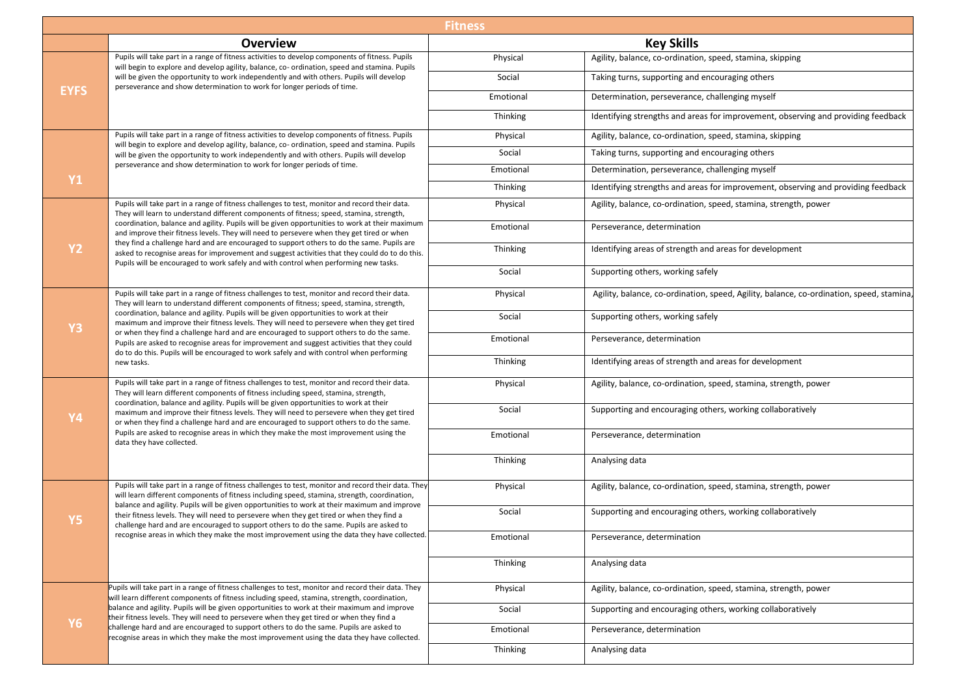| <b>Fitness</b> |                                                                                                                                                                                                                                                                                                                                                                                                                                                                                                                                                                                                                                                                                      |                 |                                                                                          |
|----------------|--------------------------------------------------------------------------------------------------------------------------------------------------------------------------------------------------------------------------------------------------------------------------------------------------------------------------------------------------------------------------------------------------------------------------------------------------------------------------------------------------------------------------------------------------------------------------------------------------------------------------------------------------------------------------------------|-----------------|------------------------------------------------------------------------------------------|
|                | <b>Overview</b>                                                                                                                                                                                                                                                                                                                                                                                                                                                                                                                                                                                                                                                                      |                 | <b>Key Skills</b>                                                                        |
|                | Pupils will take part in a range of fitness activities to develop components of fitness. Pupils<br>will begin to explore and develop agility, balance, co- ordination, speed and stamina. Pupils                                                                                                                                                                                                                                                                                                                                                                                                                                                                                     | Physical        | Agility, balance, co-ordination, speed, stamina, skipping                                |
|                | will be given the opportunity to work independently and with others. Pupils will develop<br>perseverance and show determination to work for longer periods of time.                                                                                                                                                                                                                                                                                                                                                                                                                                                                                                                  | Social          | Taking turns, supporting and encouraging others                                          |
| <b>EYFS</b>    |                                                                                                                                                                                                                                                                                                                                                                                                                                                                                                                                                                                                                                                                                      | Emotional       | Determination, perseverance, challenging myself                                          |
|                |                                                                                                                                                                                                                                                                                                                                                                                                                                                                                                                                                                                                                                                                                      | Thinking        | Identifying strengths and areas for improvement, observing and providing feedback        |
|                | Pupils will take part in a range of fitness activities to develop components of fitness. Pupils<br>will begin to explore and develop agility, balance, co- ordination, speed and stamina. Pupils                                                                                                                                                                                                                                                                                                                                                                                                                                                                                     | Physical        | Agility, balance, co-ordination, speed, stamina, skipping                                |
|                | will be given the opportunity to work independently and with others. Pupils will develop                                                                                                                                                                                                                                                                                                                                                                                                                                                                                                                                                                                             | Social          | Taking turns, supporting and encouraging others                                          |
|                | perseverance and show determination to work for longer periods of time.                                                                                                                                                                                                                                                                                                                                                                                                                                                                                                                                                                                                              | Emotional       | Determination, perseverance, challenging myself                                          |
| <b>Y1</b>      |                                                                                                                                                                                                                                                                                                                                                                                                                                                                                                                                                                                                                                                                                      | <b>Thinking</b> | Identifying strengths and areas for improvement, observing and providing feedback        |
|                | Pupils will take part in a range of fitness challenges to test, monitor and record their data.<br>They will learn to understand different components of fitness; speed, stamina, strength,                                                                                                                                                                                                                                                                                                                                                                                                                                                                                           | Physical        | Agility, balance, co-ordination, speed, stamina, strength, power                         |
|                | coordination, balance and agility. Pupils will be given opportunities to work at their maximum<br>and improve their fitness levels. They will need to persevere when they get tired or when                                                                                                                                                                                                                                                                                                                                                                                                                                                                                          | Emotional       | Perseverance, determination                                                              |
| <b>Y2</b>      | they find a challenge hard and are encouraged to support others to do the same. Pupils are<br>asked to recognise areas for improvement and suggest activities that they could do to do this.                                                                                                                                                                                                                                                                                                                                                                                                                                                                                         | Thinking        | Identifying areas of strength and areas for development                                  |
|                | Pupils will be encouraged to work safely and with control when performing new tasks.                                                                                                                                                                                                                                                                                                                                                                                                                                                                                                                                                                                                 | Social          | Supporting others, working safely                                                        |
|                | Pupils will take part in a range of fitness challenges to test, monitor and record their data.<br>They will learn to understand different components of fitness; speed, stamina, strength,<br>coordination, balance and agility. Pupils will be given opportunities to work at their<br>maximum and improve their fitness levels. They will need to persevere when they get tired<br>or when they find a challenge hard and are encouraged to support others to do the same.<br>Pupils are asked to recognise areas for improvement and suggest activities that they could<br>do to do this. Pupils will be encouraged to work safely and with control when performing<br>new tasks. | Physical        | Agility, balance, co-ordination, speed, Agility, balance, co-ordination, speed, stamina, |
| <b>Y3</b>      |                                                                                                                                                                                                                                                                                                                                                                                                                                                                                                                                                                                                                                                                                      | Social          | Supporting others, working safely                                                        |
|                |                                                                                                                                                                                                                                                                                                                                                                                                                                                                                                                                                                                                                                                                                      | Emotional       | Perseverance, determination                                                              |
|                |                                                                                                                                                                                                                                                                                                                                                                                                                                                                                                                                                                                                                                                                                      | Thinking        | Identifying areas of strength and areas for development                                  |
| <b>Y4</b>      | Pupils will take part in a range of fitness challenges to test, monitor and record their data.<br>They will learn different components of fitness including speed, stamina, strength,<br>coordination, balance and agility. Pupils will be given opportunities to work at their<br>maximum and improve their fitness levels. They will need to persevere when they get tired<br>or when they find a challenge hard and are encouraged to support others to do the same.<br>Pupils are asked to recognise areas in which they make the most improvement using the<br>data they have collected.                                                                                        | Physical        | Agility, balance, co-ordination, speed, stamina, strength, power                         |
|                |                                                                                                                                                                                                                                                                                                                                                                                                                                                                                                                                                                                                                                                                                      | Social          | Supporting and encouraging others, working collaboratively                               |
|                |                                                                                                                                                                                                                                                                                                                                                                                                                                                                                                                                                                                                                                                                                      | Emotional       | Perseverance, determination                                                              |
|                |                                                                                                                                                                                                                                                                                                                                                                                                                                                                                                                                                                                                                                                                                      | Thinking        | Analysing data                                                                           |
|                | Pupils will take part in a range of fitness challenges to test, monitor and record their data. They<br>will learn different components of fitness including speed, stamina, strength, coordination,                                                                                                                                                                                                                                                                                                                                                                                                                                                                                  | Physical        | Agility, balance, co-ordination, speed, stamina, strength, power                         |
| <b>Y5</b>      | balance and agility. Pupils will be given opportunities to work at their maximum and improve<br>their fitness levels. They will need to persevere when they get tired or when they find a<br>challenge hard and are encouraged to support others to do the same. Pupils are asked to                                                                                                                                                                                                                                                                                                                                                                                                 | Social          | Supporting and encouraging others, working collaboratively                               |
|                | recognise areas in which they make the most improvement using the data they have collected.                                                                                                                                                                                                                                                                                                                                                                                                                                                                                                                                                                                          | Emotional       | Perseverance, determination                                                              |
|                |                                                                                                                                                                                                                                                                                                                                                                                                                                                                                                                                                                                                                                                                                      | Thinking        | Analysing data                                                                           |
|                | Pupils will take part in a range of fitness challenges to test, monitor and record their data. They<br>will learn different components of fitness including speed, stamina, strength, coordination,                                                                                                                                                                                                                                                                                                                                                                                                                                                                                  | Physical        | Agility, balance, co-ordination, speed, stamina, strength, power                         |
|                | balance and agility. Pupils will be given opportunities to work at their maximum and improve<br>their fitness levels. They will need to persevere when they get tired or when they find a                                                                                                                                                                                                                                                                                                                                                                                                                                                                                            | Social          | Supporting and encouraging others, working collaboratively                               |
| <b>Y6</b>      | challenge hard and are encouraged to support others to do the same. Pupils are asked to<br>recognise areas in which they make the most improvement using the data they have collected.                                                                                                                                                                                                                                                                                                                                                                                                                                                                                               | Emotional       | Perseverance, determination                                                              |
|                |                                                                                                                                                                                                                                                                                                                                                                                                                                                                                                                                                                                                                                                                                      | Thinking        | Analysing data                                                                           |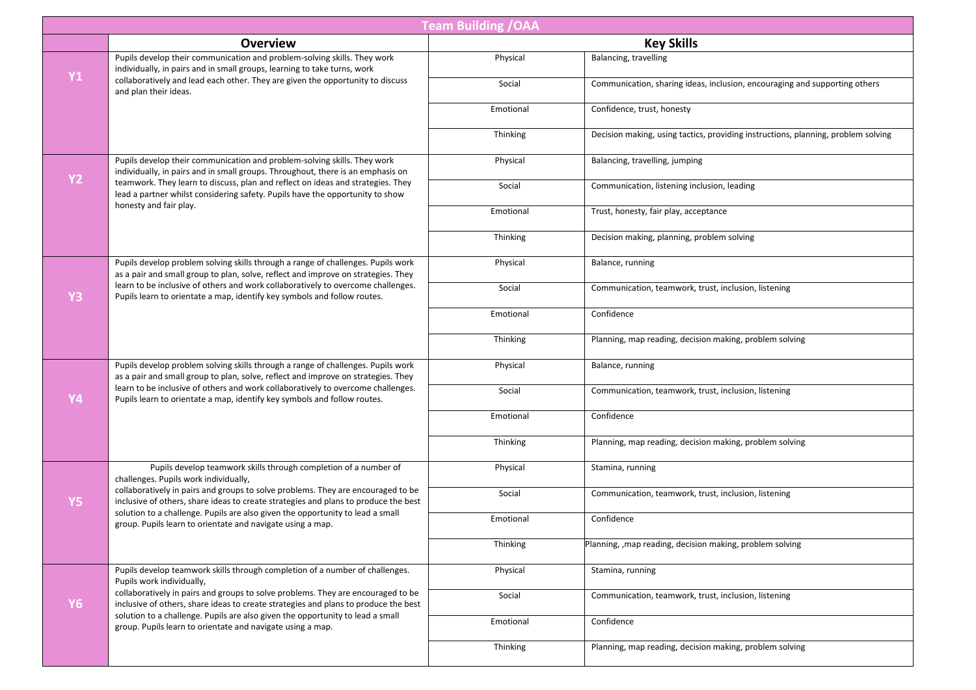| <b>Team Building / OAA</b> |                                                                                                                                                                                                                                                           |           |                                                                                   |
|----------------------------|-----------------------------------------------------------------------------------------------------------------------------------------------------------------------------------------------------------------------------------------------------------|-----------|-----------------------------------------------------------------------------------|
|                            | <b>Overview</b>                                                                                                                                                                                                                                           |           | <b>Key Skills</b>                                                                 |
| <b>Y1</b>                  | Pupils develop their communication and problem-solving skills. They work<br>individually, in pairs and in small groups, learning to take turns, work                                                                                                      | Physical  | Balancing, travelling                                                             |
|                            | collaboratively and lead each other. They are given the opportunity to discuss<br>and plan their ideas.                                                                                                                                                   | Social    | Communication, sharing ideas, inclusion, encouraging and supporting others        |
|                            |                                                                                                                                                                                                                                                           | Emotional | Confidence, trust, honesty                                                        |
|                            |                                                                                                                                                                                                                                                           | Thinking  | Decision making, using tactics, providing instructions, planning, problem solving |
| <b>Y2</b>                  | Pupils develop their communication and problem-solving skills. They work<br>individually, in pairs and in small groups. Throughout, there is an emphasis on                                                                                               | Physical  | Balancing, travelling, jumping                                                    |
|                            | teamwork. They learn to discuss, plan and reflect on ideas and strategies. They<br>lead a partner whilst considering safety. Pupils have the opportunity to show<br>honesty and fair play.                                                                | Social    | Communication, listening inclusion, leading                                       |
|                            |                                                                                                                                                                                                                                                           | Emotional | Trust, honesty, fair play, acceptance                                             |
|                            |                                                                                                                                                                                                                                                           | Thinking  | Decision making, planning, problem solving                                        |
|                            | Pupils develop problem solving skills through a range of challenges. Pupils work<br>as a pair and small group to plan, solve, reflect and improve on strategies. They                                                                                     | Physical  | Balance, running                                                                  |
| Y3                         | learn to be inclusive of others and work collaboratively to overcome challenges.<br>Pupils learn to orientate a map, identify key symbols and follow routes.                                                                                              | Social    | Communication, teamwork, trust, inclusion, listening                              |
|                            |                                                                                                                                                                                                                                                           | Emotional | Confidence                                                                        |
|                            |                                                                                                                                                                                                                                                           | Thinking  | Planning, map reading, decision making, problem solving                           |
|                            | Pupils develop problem solving skills through a range of challenges. Pupils work<br>as a pair and small group to plan, solve, reflect and improve on strategies. They                                                                                     | Physical  | Balance, running                                                                  |
| Y4                         | learn to be inclusive of others and work collaboratively to overcome challenges.<br>Pupils learn to orientate a map, identify key symbols and follow routes.                                                                                              | Social    | Communication, teamwork, trust, inclusion, listening                              |
|                            |                                                                                                                                                                                                                                                           | Emotional | Confidence                                                                        |
|                            |                                                                                                                                                                                                                                                           | Thinking  | Planning, map reading, decision making, problem solving                           |
|                            | Pupils develop teamwork skills through completion of a number of<br>challenges. Pupils work individually,                                                                                                                                                 | Physical  | Stamina, running                                                                  |
| Y <sub>5</sub>             | collaboratively in pairs and groups to solve problems. They are encouraged to be<br>inclusive of others, share ideas to create strategies and plans to produce the best<br>solution to a challenge. Pupils are also given the opportunity to lead a small | Social    | Communication, teamwork, trust, inclusion, listening                              |
|                            | group. Pupils learn to orientate and navigate using a map.                                                                                                                                                                                                | Emotional | Confidence                                                                        |
|                            |                                                                                                                                                                                                                                                           | Thinking  | Planning, , map reading, decision making, problem solving                         |
|                            | Pupils develop teamwork skills through completion of a number of challenges.<br>Pupils work individually,                                                                                                                                                 | Physical  | Stamina, running                                                                  |
| <b>Y6</b>                  | collaboratively in pairs and groups to solve problems. They are encouraged to be<br>inclusive of others, share ideas to create strategies and plans to produce the best<br>solution to a challenge. Pupils are also given the opportunity to lead a small | Social    | Communication, teamwork, trust, inclusion, listening                              |
|                            | group. Pupils learn to orientate and navigate using a map.                                                                                                                                                                                                | Emotional | Confidence                                                                        |
|                            |                                                                                                                                                                                                                                                           | Thinking  | Planning, map reading, decision making, problem solving                           |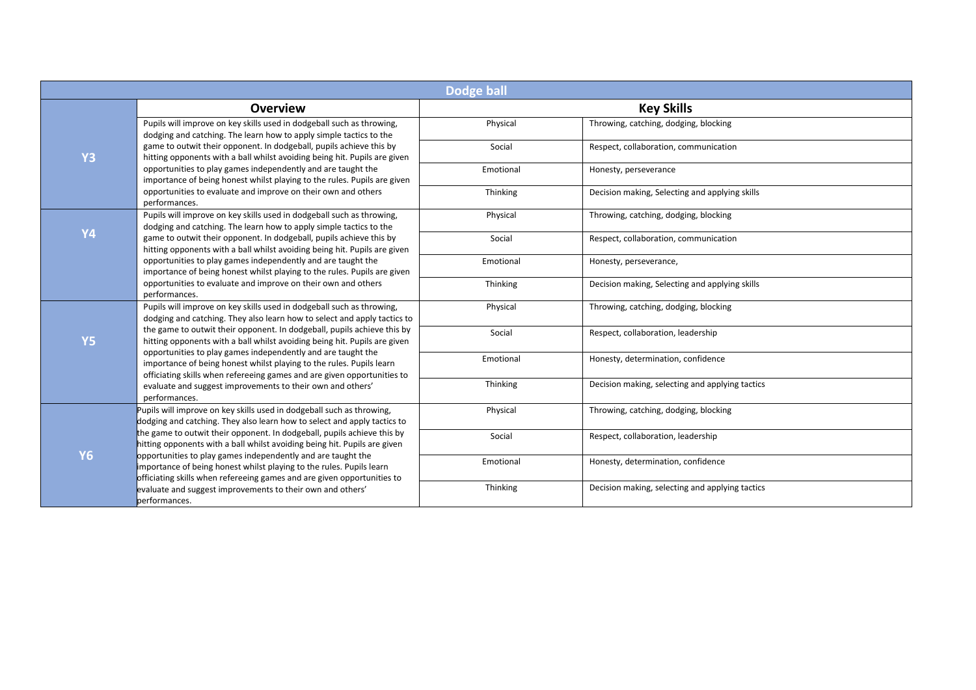| <b>Dodge ball</b> |                                                                                                                                                                                                                                                                                                                                                                                                                                                        |           |                                                 |
|-------------------|--------------------------------------------------------------------------------------------------------------------------------------------------------------------------------------------------------------------------------------------------------------------------------------------------------------------------------------------------------------------------------------------------------------------------------------------------------|-----------|-------------------------------------------------|
|                   | <b>Overview</b>                                                                                                                                                                                                                                                                                                                                                                                                                                        |           | <b>Key Skills</b>                               |
|                   | Pupils will improve on key skills used in dodgeball such as throwing,<br>dodging and catching. The learn how to apply simple tactics to the                                                                                                                                                                                                                                                                                                            | Physical  | Throwing, catching, dodging, blocking           |
| <b>Y3</b>         | game to outwit their opponent. In dodgeball, pupils achieve this by<br>hitting opponents with a ball whilst avoiding being hit. Pupils are given                                                                                                                                                                                                                                                                                                       | Social    | Respect, collaboration, communication           |
|                   | opportunities to play games independently and are taught the<br>importance of being honest whilst playing to the rules. Pupils are given                                                                                                                                                                                                                                                                                                               | Emotional | Honesty, perseverance                           |
|                   | opportunities to evaluate and improve on their own and others<br>performances.                                                                                                                                                                                                                                                                                                                                                                         | Thinking  | Decision making, Selecting and applying skills  |
|                   | Pupils will improve on key skills used in dodgeball such as throwing,<br>dodging and catching. The learn how to apply simple tactics to the                                                                                                                                                                                                                                                                                                            | Physical  | Throwing, catching, dodging, blocking           |
| <b>Y4</b>         | game to outwit their opponent. In dodgeball, pupils achieve this by<br>hitting opponents with a ball whilst avoiding being hit. Pupils are given                                                                                                                                                                                                                                                                                                       | Social    | Respect, collaboration, communication           |
|                   | opportunities to play games independently and are taught the<br>importance of being honest whilst playing to the rules. Pupils are given                                                                                                                                                                                                                                                                                                               | Emotional | Honesty, perseverance,                          |
|                   | opportunities to evaluate and improve on their own and others<br>performances.                                                                                                                                                                                                                                                                                                                                                                         | Thinking  | Decision making, Selecting and applying skills  |
|                   | Pupils will improve on key skills used in dodgeball such as throwing,<br>dodging and catching. They also learn how to select and apply tactics to                                                                                                                                                                                                                                                                                                      | Physical  | Throwing, catching, dodging, blocking           |
| <b>Y5</b>         | the game to outwit their opponent. In dodgeball, pupils achieve this by<br>hitting opponents with a ball whilst avoiding being hit. Pupils are given<br>opportunities to play games independently and are taught the<br>importance of being honest whilst playing to the rules. Pupils learn<br>officiating skills when refereeing games and are given opportunities to<br>evaluate and suggest improvements to their own and others'<br>performances. | Social    | Respect, collaboration, leadership              |
|                   |                                                                                                                                                                                                                                                                                                                                                                                                                                                        | Emotional | Honesty, determination, confidence              |
|                   |                                                                                                                                                                                                                                                                                                                                                                                                                                                        | Thinking  | Decision making, selecting and applying tactics |
|                   | Pupils will improve on key skills used in dodgeball such as throwing,<br>dodging and catching. They also learn how to select and apply tactics to                                                                                                                                                                                                                                                                                                      | Physical  | Throwing, catching, dodging, blocking           |
|                   | the game to outwit their opponent. In dodgeball, pupils achieve this by<br>nitting opponents with a ball whilst avoiding being hit. Pupils are given                                                                                                                                                                                                                                                                                                   | Social    | Respect, collaboration, leadership              |
| <b>Y6</b>         | opportunities to play games independently and are taught the<br>importance of being honest whilst playing to the rules. Pupils learn                                                                                                                                                                                                                                                                                                                   | Emotional | Honesty, determination, confidence              |
|                   | officiating skills when refereeing games and are given opportunities to<br>evaluate and suggest improvements to their own and others'<br>performances.                                                                                                                                                                                                                                                                                                 | Thinking  | Decision making, selecting and applying tactics |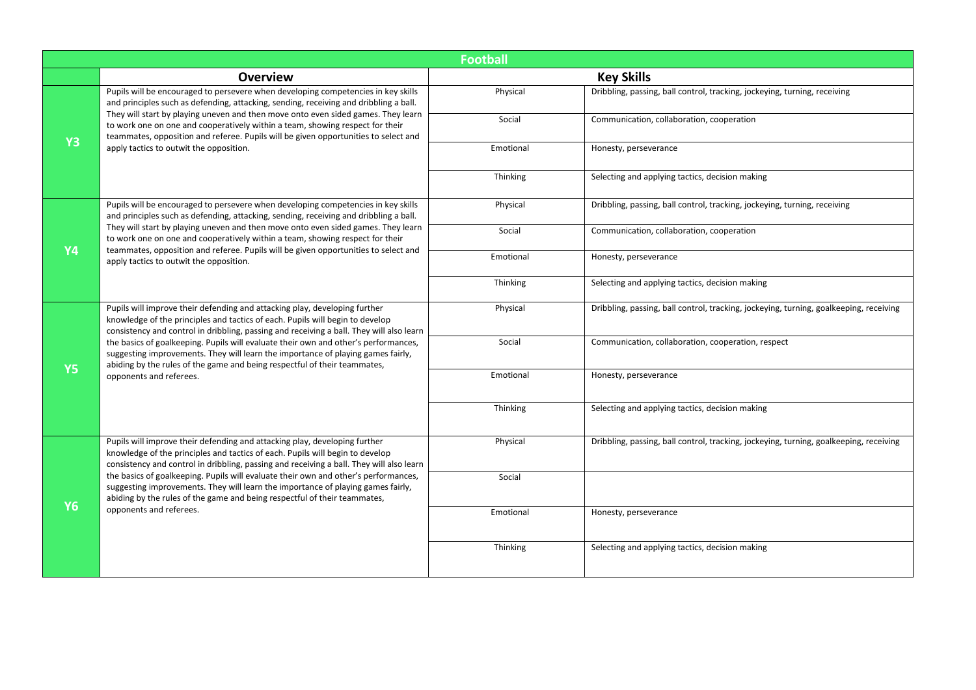|           | <b>Football</b>                                                                                                                                                                                                                                                                 |           |                                                                                        |  |
|-----------|---------------------------------------------------------------------------------------------------------------------------------------------------------------------------------------------------------------------------------------------------------------------------------|-----------|----------------------------------------------------------------------------------------|--|
|           | <b>Overview</b>                                                                                                                                                                                                                                                                 |           | <b>Key Skills</b>                                                                      |  |
|           | Pupils will be encouraged to persevere when developing competencies in key skills<br>and principles such as defending, attacking, sending, receiving and dribbling a ball.<br>They will start by playing uneven and then move onto even sided games. They learn                 | Physical  | Dribbling, passing, ball control, tracking, jockeying, turning, receiving              |  |
| <b>Y3</b> | to work one on one and cooperatively within a team, showing respect for their<br>teammates, opposition and referee. Pupils will be given opportunities to select and                                                                                                            | Social    | Communication, collaboration, cooperation                                              |  |
|           | apply tactics to outwit the opposition.                                                                                                                                                                                                                                         | Emotional | Honesty, perseverance                                                                  |  |
|           |                                                                                                                                                                                                                                                                                 | Thinking  | Selecting and applying tactics, decision making                                        |  |
|           | Pupils will be encouraged to persevere when developing competencies in key skills<br>and principles such as defending, attacking, sending, receiving and dribbling a ball.                                                                                                      | Physical  | Dribbling, passing, ball control, tracking, jockeying, turning, receiving              |  |
| <b>Y4</b> | They will start by playing uneven and then move onto even sided games. They learn<br>to work one on one and cooperatively within a team, showing respect for their<br>teammates, opposition and referee. Pupils will be given opportunities to select and                       | Social    | Communication, collaboration, cooperation                                              |  |
|           | apply tactics to outwit the opposition.                                                                                                                                                                                                                                         | Emotional | Honesty, perseverance                                                                  |  |
|           |                                                                                                                                                                                                                                                                                 | Thinking  | Selecting and applying tactics, decision making                                        |  |
|           | Pupils will improve their defending and attacking play, developing further<br>knowledge of the principles and tactics of each. Pupils will begin to develop<br>consistency and control in dribbling, passing and receiving a ball. They will also learn                         | Physical  | Dribbling, passing, ball control, tracking, jockeying, turning, goalkeeping, receiving |  |
|           | the basics of goalkeeping. Pupils will evaluate their own and other's performances,<br>suggesting improvements. They will learn the importance of playing games fairly,<br>abiding by the rules of the game and being respectful of their teammates,<br>opponents and referees. | Social    | Communication, collaboration, cooperation, respect                                     |  |
| <b>Y5</b> |                                                                                                                                                                                                                                                                                 | Emotional | Honesty, perseverance                                                                  |  |
|           |                                                                                                                                                                                                                                                                                 | Thinking  | Selecting and applying tactics, decision making                                        |  |
|           | Pupils will improve their defending and attacking play, developing further<br>knowledge of the principles and tactics of each. Pupils will begin to develop<br>consistency and control in dribbling, passing and receiving a ball. They will also learn                         | Physical  | Dribbling, passing, ball control, tracking, jockeying, turning, goalkeeping, receiving |  |
| <b>Y6</b> | the basics of goalkeeping. Pupils will evaluate their own and other's performances,<br>suggesting improvements. They will learn the importance of playing games fairly,<br>abiding by the rules of the game and being respectful of their teammates,                            | Social    |                                                                                        |  |
|           | opponents and referees.                                                                                                                                                                                                                                                         | Emotional | Honesty, perseverance                                                                  |  |
|           |                                                                                                                                                                                                                                                                                 | Thinking  | Selecting and applying tactics, decision making                                        |  |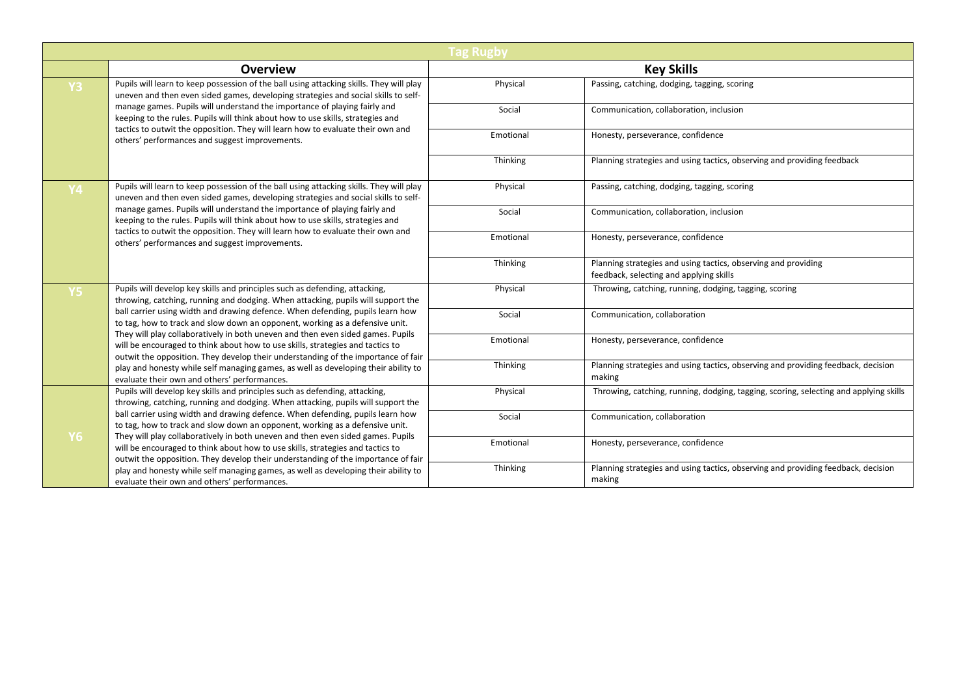|                |                                                                                                                                                                                                                                                                                                                                                                                                                                                                                                                                                                                                                                                                                                                                   | <b>Tag Rugby</b> |                                                                                                           |
|----------------|-----------------------------------------------------------------------------------------------------------------------------------------------------------------------------------------------------------------------------------------------------------------------------------------------------------------------------------------------------------------------------------------------------------------------------------------------------------------------------------------------------------------------------------------------------------------------------------------------------------------------------------------------------------------------------------------------------------------------------------|------------------|-----------------------------------------------------------------------------------------------------------|
|                | <b>Overview</b>                                                                                                                                                                                                                                                                                                                                                                                                                                                                                                                                                                                                                                                                                                                   |                  | <b>Key Skills</b>                                                                                         |
| <b>Y3</b>      | Pupils will learn to keep possession of the ball using attacking skills. They will play<br>uneven and then even sided games, developing strategies and social skills to self-                                                                                                                                                                                                                                                                                                                                                                                                                                                                                                                                                     | Physical         | Passing, catching, dodging, tagging, scoring                                                              |
|                | manage games. Pupils will understand the importance of playing fairly and<br>keeping to the rules. Pupils will think about how to use skills, strategies and                                                                                                                                                                                                                                                                                                                                                                                                                                                                                                                                                                      | Social           | Communication, collaboration, inclusion                                                                   |
|                | tactics to outwit the opposition. They will learn how to evaluate their own and<br>others' performances and suggest improvements.                                                                                                                                                                                                                                                                                                                                                                                                                                                                                                                                                                                                 | Emotional        | Honesty, perseverance, confidence                                                                         |
|                |                                                                                                                                                                                                                                                                                                                                                                                                                                                                                                                                                                                                                                                                                                                                   | Thinking         | Planning strategies and using tactics, observing and providing feedback                                   |
| <b>Y4</b>      | Pupils will learn to keep possession of the ball using attacking skills. They will play<br>uneven and then even sided games, developing strategies and social skills to self-                                                                                                                                                                                                                                                                                                                                                                                                                                                                                                                                                     | Physical         | Passing, catching, dodging, tagging, scoring                                                              |
|                | manage games. Pupils will understand the importance of playing fairly and<br>keeping to the rules. Pupils will think about how to use skills, strategies and<br>tactics to outwit the opposition. They will learn how to evaluate their own and<br>others' performances and suggest improvements.                                                                                                                                                                                                                                                                                                                                                                                                                                 | Social           | Communication, collaboration, inclusion                                                                   |
|                |                                                                                                                                                                                                                                                                                                                                                                                                                                                                                                                                                                                                                                                                                                                                   | Emotional        | Honesty, perseverance, confidence                                                                         |
|                |                                                                                                                                                                                                                                                                                                                                                                                                                                                                                                                                                                                                                                                                                                                                   | Thinking         | Planning strategies and using tactics, observing and providing<br>feedback, selecting and applying skills |
| Y <sub>5</sub> | Pupils will develop key skills and principles such as defending, attacking,<br>throwing, catching, running and dodging. When attacking, pupils will support the<br>ball carrier using width and drawing defence. When defending, pupils learn how<br>to tag, how to track and slow down an opponent, working as a defensive unit.<br>They will play collaboratively in both uneven and then even sided games. Pupils<br>will be encouraged to think about how to use skills, strategies and tactics to<br>outwit the opposition. They develop their understanding of the importance of fair<br>play and honesty while self managing games, as well as developing their ability to<br>evaluate their own and others' performances. | Physical         | Throwing, catching, running, dodging, tagging, scoring                                                    |
|                |                                                                                                                                                                                                                                                                                                                                                                                                                                                                                                                                                                                                                                                                                                                                   | Social           | Communication, collaboration                                                                              |
|                |                                                                                                                                                                                                                                                                                                                                                                                                                                                                                                                                                                                                                                                                                                                                   | Emotional        | Honesty, perseverance, confidence                                                                         |
|                |                                                                                                                                                                                                                                                                                                                                                                                                                                                                                                                                                                                                                                                                                                                                   | Thinking         | Planning strategies and using tactics, observing and providing feedback, decision<br>making               |
|                | Pupils will develop key skills and principles such as defending, attacking,<br>throwing, catching, running and dodging. When attacking, pupils will support the<br>ball carrier using width and drawing defence. When defending, pupils learn how<br>to tag, how to track and slow down an opponent, working as a defensive unit.<br>They will play collaboratively in both uneven and then even sided games. Pupils<br>will be encouraged to think about how to use skills, strategies and tactics to<br>outwit the opposition. They develop their understanding of the importance of fair<br>play and honesty while self managing games, as well as developing their ability to<br>evaluate their own and others' performances. | Physical         | Throwing, catching, running, dodging, tagging, scoring, selecting and applying skills                     |
| Y6             |                                                                                                                                                                                                                                                                                                                                                                                                                                                                                                                                                                                                                                                                                                                                   | Social           | Communication, collaboration                                                                              |
|                |                                                                                                                                                                                                                                                                                                                                                                                                                                                                                                                                                                                                                                                                                                                                   | Emotional        | Honesty, perseverance, confidence                                                                         |
|                |                                                                                                                                                                                                                                                                                                                                                                                                                                                                                                                                                                                                                                                                                                                                   | Thinking         | Planning strategies and using tactics, observing and providing feedback, decision<br>making               |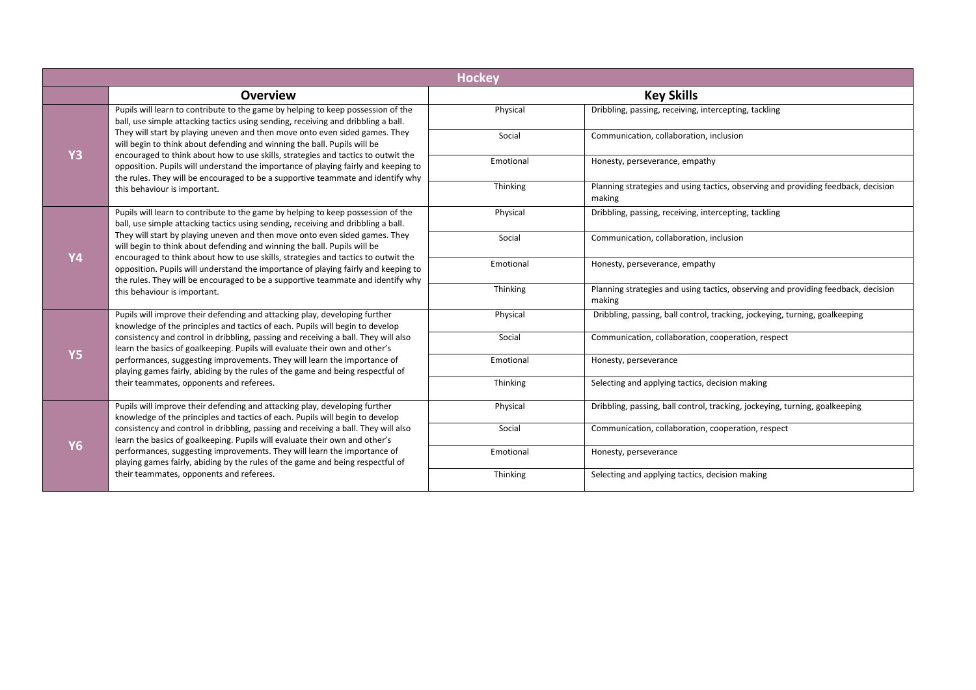| <b>Hockey</b> |                                                                                                                                                                                                                                                                                                                                                                                                                                                                                                                                            |           |                                                                                             |  |
|---------------|--------------------------------------------------------------------------------------------------------------------------------------------------------------------------------------------------------------------------------------------------------------------------------------------------------------------------------------------------------------------------------------------------------------------------------------------------------------------------------------------------------------------------------------------|-----------|---------------------------------------------------------------------------------------------|--|
|               | <b>Overview</b>                                                                                                                                                                                                                                                                                                                                                                                                                                                                                                                            |           | <b>Key Skills</b>                                                                           |  |
|               | Pupils will learn to contribute to the game by helping to keep possession of the<br>ball, use simple attacking tactics using sending, receiving and dribbling a ball.                                                                                                                                                                                                                                                                                                                                                                      | Physical  | Dribbling, passing, receiving, intercepting, tackling                                       |  |
|               | They will start by playing uneven and then move onto even sided games. They<br>will begin to think about defending and winning the ball. Pupils will be<br>encouraged to think about how to use skills, strategies and tactics to outwit the                                                                                                                                                                                                                                                                                               | Social    | Communication, collaboration, inclusion                                                     |  |
| <b>Y3</b>     | opposition. Pupils will understand the importance of playing fairly and keeping to<br>the rules. They will be encouraged to be a supportive teammate and identify why                                                                                                                                                                                                                                                                                                                                                                      | Emotional | Honesty, perseverance, empathy                                                              |  |
|               | this behaviour is important.                                                                                                                                                                                                                                                                                                                                                                                                                                                                                                               | Thinking  | Planning strategies and using tactics, observing and providing feedback, decision<br>making |  |
|               | Pupils will learn to contribute to the game by helping to keep possession of the<br>ball, use simple attacking tactics using sending, receiving and dribbling a ball.                                                                                                                                                                                                                                                                                                                                                                      | Physical  | Dribbling, passing, receiving, intercepting, tackling                                       |  |
| Y4            | They will start by playing uneven and then move onto even sided games. They<br>will begin to think about defending and winning the ball. Pupils will be<br>encouraged to think about how to use skills, strategies and tactics to outwit the<br>opposition. Pupils will understand the importance of playing fairly and keeping to<br>the rules. They will be encouraged to be a supportive teammate and identify why<br>this behaviour is important.                                                                                      | Social    | Communication, collaboration, inclusion                                                     |  |
|               |                                                                                                                                                                                                                                                                                                                                                                                                                                                                                                                                            | Emotional | Honesty, perseverance, empathy                                                              |  |
|               |                                                                                                                                                                                                                                                                                                                                                                                                                                                                                                                                            | Thinking  | Planning strategies and using tactics, observing and providing feedback, decision<br>making |  |
|               | Pupils will improve their defending and attacking play, developing further<br>knowledge of the principles and tactics of each. Pupils will begin to develop<br>consistency and control in dribbling, passing and receiving a ball. They will also<br>learn the basics of goalkeeping. Pupils will evaluate their own and other's<br>performances, suggesting improvements. They will learn the importance of<br>playing games fairly, abiding by the rules of the game and being respectful of<br>their teammates, opponents and referees. | Physical  | Dribbling, passing, ball control, tracking, jockeying, turning, goalkeeping                 |  |
| <b>Y5</b>     |                                                                                                                                                                                                                                                                                                                                                                                                                                                                                                                                            | Social    | Communication, collaboration, cooperation, respect                                          |  |
|               |                                                                                                                                                                                                                                                                                                                                                                                                                                                                                                                                            | Emotional | Honesty, perseverance                                                                       |  |
|               |                                                                                                                                                                                                                                                                                                                                                                                                                                                                                                                                            | Thinking  | Selecting and applying tactics, decision making                                             |  |
| <b>Y6</b>     | Pupils will improve their defending and attacking play, developing further<br>knowledge of the principles and tactics of each. Pupils will begin to develop                                                                                                                                                                                                                                                                                                                                                                                | Physical  | Dribbling, passing, ball control, tracking, jockeying, turning, goalkeeping                 |  |
|               | consistency and control in dribbling, passing and receiving a ball. They will also<br>learn the basics of goalkeeping. Pupils will evaluate their own and other's                                                                                                                                                                                                                                                                                                                                                                          | Social    | Communication, collaboration, cooperation, respect                                          |  |
|               | performances, suggesting improvements. They will learn the importance of<br>playing games fairly, abiding by the rules of the game and being respectful of<br>their teammates, opponents and referees.                                                                                                                                                                                                                                                                                                                                     | Emotional | Honesty, perseverance                                                                       |  |
|               |                                                                                                                                                                                                                                                                                                                                                                                                                                                                                                                                            | Thinking  | Selecting and applying tactics, decision making                                             |  |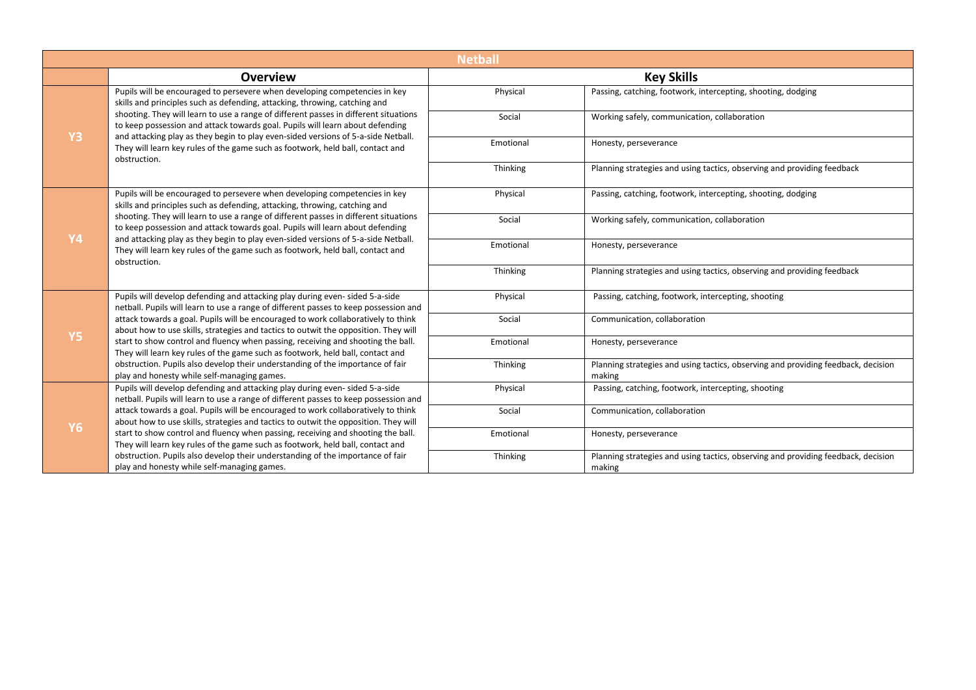| <b>Netball</b> |                                                                                                                                                                                                                                                                                                                                                              |           |                                                                                             |
|----------------|--------------------------------------------------------------------------------------------------------------------------------------------------------------------------------------------------------------------------------------------------------------------------------------------------------------------------------------------------------------|-----------|---------------------------------------------------------------------------------------------|
|                | <b>Overview</b>                                                                                                                                                                                                                                                                                                                                              |           | <b>Key Skills</b>                                                                           |
|                | Pupils will be encouraged to persevere when developing competencies in key<br>skills and principles such as defending, attacking, throwing, catching and                                                                                                                                                                                                     | Physical  | Passing, catching, footwork, intercepting, shooting, dodging                                |
|                | shooting. They will learn to use a range of different passes in different situations<br>to keep possession and attack towards goal. Pupils will learn about defending                                                                                                                                                                                        | Social    | Working safely, communication, collaboration                                                |
| <b>Y3</b>      | and attacking play as they begin to play even-sided versions of 5-a-side Netball.<br>They will learn key rules of the game such as footwork, held ball, contact and<br>obstruction.                                                                                                                                                                          | Emotional | Honesty, perseverance                                                                       |
|                |                                                                                                                                                                                                                                                                                                                                                              | Thinking  | Planning strategies and using tactics, observing and providing feedback                     |
|                | Pupils will be encouraged to persevere when developing competencies in key<br>skills and principles such as defending, attacking, throwing, catching and                                                                                                                                                                                                     | Physical  | Passing, catching, footwork, intercepting, shooting, dodging                                |
|                | shooting. They will learn to use a range of different passes in different situations<br>to keep possession and attack towards goal. Pupils will learn about defending<br>and attacking play as they begin to play even-sided versions of 5-a-side Netball.<br>They will learn key rules of the game such as footwork, held ball, contact and<br>obstruction. | Social    | Working safely, communication, collaboration                                                |
| <b>Y4</b>      |                                                                                                                                                                                                                                                                                                                                                              | Emotional | Honesty, perseverance                                                                       |
|                |                                                                                                                                                                                                                                                                                                                                                              | Thinking  | Planning strategies and using tactics, observing and providing feedback                     |
|                | Pupils will develop defending and attacking play during even-sided 5-a-side<br>netball. Pupils will learn to use a range of different passes to keep possession and                                                                                                                                                                                          | Physical  | Passing, catching, footwork, intercepting, shooting                                         |
|                | attack towards a goal. Pupils will be encouraged to work collaboratively to think<br>about how to use skills, strategies and tactics to outwit the opposition. They will                                                                                                                                                                                     | Social    | Communication, collaboration                                                                |
| <b>Y5</b>      | start to show control and fluency when passing, receiving and shooting the ball.<br>They will learn key rules of the game such as footwork, held ball, contact and                                                                                                                                                                                           | Emotional | Honesty, perseverance                                                                       |
|                | obstruction. Pupils also develop their understanding of the importance of fair<br>play and honesty while self-managing games.                                                                                                                                                                                                                                | Thinking  | Planning strategies and using tactics, observing and providing feedback, decision<br>making |
|                | Pupils will develop defending and attacking play during even-sided 5-a-side<br>netball. Pupils will learn to use a range of different passes to keep possession and                                                                                                                                                                                          | Physical  | Passing, catching, footwork, intercepting, shooting                                         |
| Y6             | attack towards a goal. Pupils will be encouraged to work collaboratively to think<br>about how to use skills, strategies and tactics to outwit the opposition. They will                                                                                                                                                                                     | Social    | Communication, collaboration                                                                |
|                | start to show control and fluency when passing, receiving and shooting the ball.<br>They will learn key rules of the game such as footwork, held ball, contact and                                                                                                                                                                                           | Emotional | Honesty, perseverance                                                                       |
|                | obstruction. Pupils also develop their understanding of the importance of fair<br>play and honesty while self-managing games.                                                                                                                                                                                                                                | Thinking  | Planning strategies and using tactics, observing and providing feedback, decision<br>making |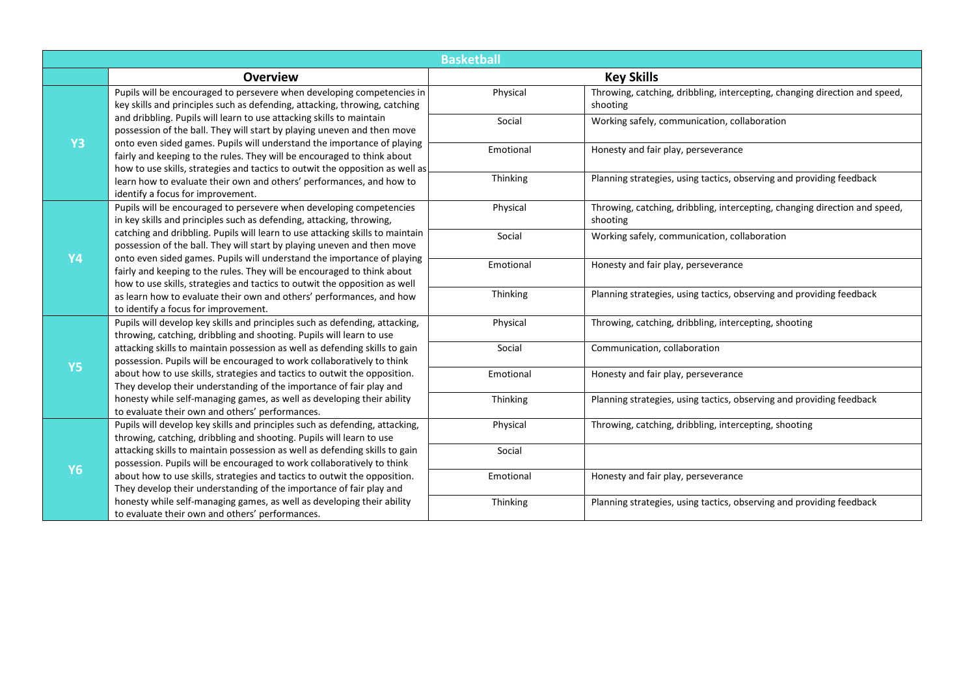|           | <b>Basketball</b>                                                                                                                                                                                                                                                                                                                                                                                                                                                                                                                              |           |                                                                                        |  |  |  |
|-----------|------------------------------------------------------------------------------------------------------------------------------------------------------------------------------------------------------------------------------------------------------------------------------------------------------------------------------------------------------------------------------------------------------------------------------------------------------------------------------------------------------------------------------------------------|-----------|----------------------------------------------------------------------------------------|--|--|--|
|           | <b>Overview</b>                                                                                                                                                                                                                                                                                                                                                                                                                                                                                                                                |           | <b>Key Skills</b>                                                                      |  |  |  |
|           | Pupils will be encouraged to persevere when developing competencies in<br>key skills and principles such as defending, attacking, throwing, catching<br>and dribbling. Pupils will learn to use attacking skills to maintain<br>possession of the ball. They will start by playing uneven and then move<br>onto even sided games. Pupils will understand the importance of playing<br>fairly and keeping to the rules. They will be encouraged to think about<br>how to use skills, strategies and tactics to outwit the opposition as well as | Physical  | Throwing, catching, dribbling, intercepting, changing direction and speed,<br>shooting |  |  |  |
|           |                                                                                                                                                                                                                                                                                                                                                                                                                                                                                                                                                | Social    | Working safely, communication, collaboration                                           |  |  |  |
| <b>Y3</b> |                                                                                                                                                                                                                                                                                                                                                                                                                                                                                                                                                | Emotional | Honesty and fair play, perseverance                                                    |  |  |  |
|           | learn how to evaluate their own and others' performances, and how to<br>identify a focus for improvement.                                                                                                                                                                                                                                                                                                                                                                                                                                      | Thinking  | Planning strategies, using tactics, observing and providing feedback                   |  |  |  |
|           | Pupils will be encouraged to persevere when developing competencies<br>in key skills and principles such as defending, attacking, throwing,                                                                                                                                                                                                                                                                                                                                                                                                    | Physical  | Throwing, catching, dribbling, intercepting, changing direction and speed,<br>shooting |  |  |  |
| <b>Y4</b> | catching and dribbling. Pupils will learn to use attacking skills to maintain<br>possession of the ball. They will start by playing uneven and then move<br>onto even sided games. Pupils will understand the importance of playing<br>fairly and keeping to the rules. They will be encouraged to think about<br>how to use skills, strategies and tactics to outwit the opposition as well                                                                                                                                                   | Social    | Working safely, communication, collaboration                                           |  |  |  |
|           |                                                                                                                                                                                                                                                                                                                                                                                                                                                                                                                                                | Emotional | Honesty and fair play, perseverance                                                    |  |  |  |
|           | as learn how to evaluate their own and others' performances, and how<br>to identify a focus for improvement.                                                                                                                                                                                                                                                                                                                                                                                                                                   | Thinking  | Planning strategies, using tactics, observing and providing feedback                   |  |  |  |
|           | Pupils will develop key skills and principles such as defending, attacking,<br>throwing, catching, dribbling and shooting. Pupils will learn to use                                                                                                                                                                                                                                                                                                                                                                                            | Physical  | Throwing, catching, dribbling, intercepting, shooting                                  |  |  |  |
| <b>Y5</b> | attacking skills to maintain possession as well as defending skills to gain<br>possession. Pupils will be encouraged to work collaboratively to think<br>about how to use skills, strategies and tactics to outwit the opposition.<br>They develop their understanding of the importance of fair play and                                                                                                                                                                                                                                      | Social    | Communication, collaboration                                                           |  |  |  |
|           |                                                                                                                                                                                                                                                                                                                                                                                                                                                                                                                                                | Emotional | Honesty and fair play, perseverance                                                    |  |  |  |
|           | honesty while self-managing games, as well as developing their ability<br>to evaluate their own and others' performances.                                                                                                                                                                                                                                                                                                                                                                                                                      | Thinking  | Planning strategies, using tactics, observing and providing feedback                   |  |  |  |
|           | Pupils will develop key skills and principles such as defending, attacking,<br>throwing, catching, dribbling and shooting. Pupils will learn to use                                                                                                                                                                                                                                                                                                                                                                                            | Physical  | Throwing, catching, dribbling, intercepting, shooting                                  |  |  |  |
| <b>Y6</b> | attacking skills to maintain possession as well as defending skills to gain<br>possession. Pupils will be encouraged to work collaboratively to think                                                                                                                                                                                                                                                                                                                                                                                          | Social    |                                                                                        |  |  |  |
|           | about how to use skills, strategies and tactics to outwit the opposition.<br>They develop their understanding of the importance of fair play and                                                                                                                                                                                                                                                                                                                                                                                               | Emotional | Honesty and fair play, perseverance                                                    |  |  |  |
|           | honesty while self-managing games, as well as developing their ability<br>to evaluate their own and others' performances.                                                                                                                                                                                                                                                                                                                                                                                                                      | Thinking  | Planning strategies, using tactics, observing and providing feedback                   |  |  |  |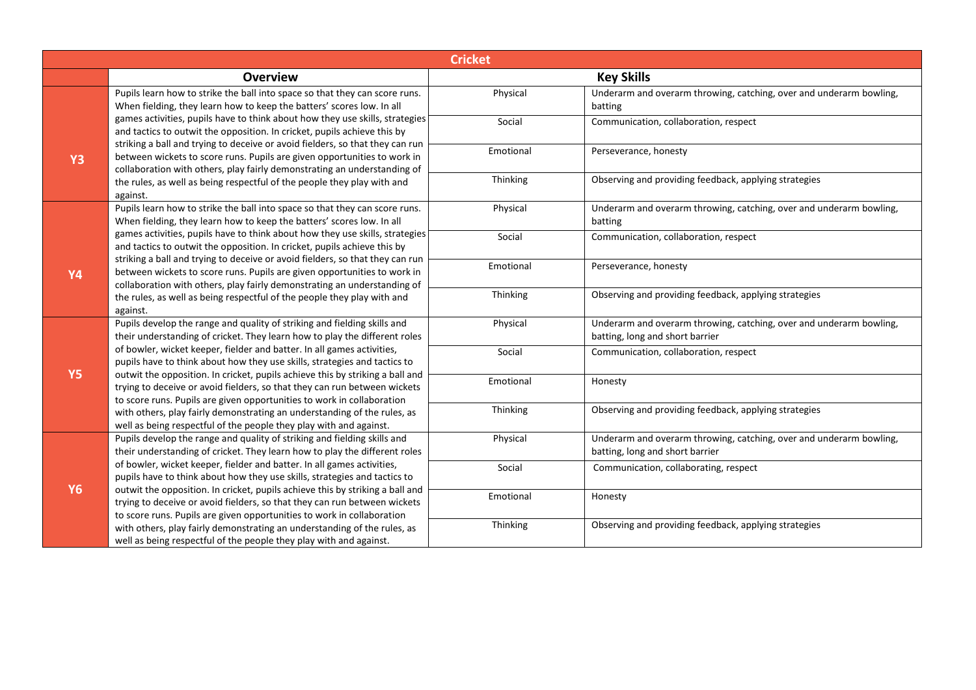| <b>Cricket</b> |                                                                                                                                                                                                                                                                                                                                                                                                                                                                                                                                                                                                                                                                                                         |           |                                                                                                        |  |  |
|----------------|---------------------------------------------------------------------------------------------------------------------------------------------------------------------------------------------------------------------------------------------------------------------------------------------------------------------------------------------------------------------------------------------------------------------------------------------------------------------------------------------------------------------------------------------------------------------------------------------------------------------------------------------------------------------------------------------------------|-----------|--------------------------------------------------------------------------------------------------------|--|--|
|                | <b>Overview</b>                                                                                                                                                                                                                                                                                                                                                                                                                                                                                                                                                                                                                                                                                         |           | <b>Key Skills</b>                                                                                      |  |  |
|                | Pupils learn how to strike the ball into space so that they can score runs.<br>When fielding, they learn how to keep the batters' scores low. In all<br>games activities, pupils have to think about how they use skills, strategies<br>and tactics to outwit the opposition. In cricket, pupils achieve this by<br>striking a ball and trying to deceive or avoid fielders, so that they can run<br>between wickets to score runs. Pupils are given opportunities to work in<br>collaboration with others, play fairly demonstrating an understanding of                                                                                                                                               | Physical  | Underarm and overarm throwing, catching, over and underarm bowling,<br>batting                         |  |  |
|                |                                                                                                                                                                                                                                                                                                                                                                                                                                                                                                                                                                                                                                                                                                         | Social    | Communication, collaboration, respect                                                                  |  |  |
| <b>Y3</b>      |                                                                                                                                                                                                                                                                                                                                                                                                                                                                                                                                                                                                                                                                                                         | Emotional | Perseverance, honesty                                                                                  |  |  |
|                | the rules, as well as being respectful of the people they play with and<br>against.                                                                                                                                                                                                                                                                                                                                                                                                                                                                                                                                                                                                                     | Thinking  | Observing and providing feedback, applying strategies                                                  |  |  |
|                | Pupils learn how to strike the ball into space so that they can score runs.<br>When fielding, they learn how to keep the batters' scores low. In all                                                                                                                                                                                                                                                                                                                                                                                                                                                                                                                                                    | Physical  | Underarm and overarm throwing, catching, over and underarm bowling,<br>batting                         |  |  |
|                | games activities, pupils have to think about how they use skills, strategies<br>and tactics to outwit the opposition. In cricket, pupils achieve this by<br>striking a ball and trying to deceive or avoid fielders, so that they can run<br>between wickets to score runs. Pupils are given opportunities to work in<br>collaboration with others, play fairly demonstrating an understanding of                                                                                                                                                                                                                                                                                                       | Social    | Communication, collaboration, respect                                                                  |  |  |
| <b>Y4</b>      |                                                                                                                                                                                                                                                                                                                                                                                                                                                                                                                                                                                                                                                                                                         | Emotional | Perseverance, honesty                                                                                  |  |  |
|                | the rules, as well as being respectful of the people they play with and<br>against.                                                                                                                                                                                                                                                                                                                                                                                                                                                                                                                                                                                                                     | Thinking  | Observing and providing feedback, applying strategies                                                  |  |  |
|                | Pupils develop the range and quality of striking and fielding skills and<br>their understanding of cricket. They learn how to play the different roles<br>of bowler, wicket keeper, fielder and batter. In all games activities,<br>pupils have to think about how they use skills, strategies and tactics to<br>outwit the opposition. In cricket, pupils achieve this by striking a ball and<br>trying to deceive or avoid fielders, so that they can run between wickets<br>to score runs. Pupils are given opportunities to work in collaboration<br>with others, play fairly demonstrating an understanding of the rules, as<br>well as being respectful of the people they play with and against. | Physical  | Underarm and overarm throwing, catching, over and underarm bowling,<br>batting, long and short barrier |  |  |
| <b>Y5</b>      |                                                                                                                                                                                                                                                                                                                                                                                                                                                                                                                                                                                                                                                                                                         | Social    | Communication, collaboration, respect                                                                  |  |  |
|                |                                                                                                                                                                                                                                                                                                                                                                                                                                                                                                                                                                                                                                                                                                         | Emotional | Honesty                                                                                                |  |  |
|                |                                                                                                                                                                                                                                                                                                                                                                                                                                                                                                                                                                                                                                                                                                         | Thinking  | Observing and providing feedback, applying strategies                                                  |  |  |
|                | Pupils develop the range and quality of striking and fielding skills and<br>their understanding of cricket. They learn how to play the different roles                                                                                                                                                                                                                                                                                                                                                                                                                                                                                                                                                  | Physical  | Underarm and overarm throwing, catching, over and underarm bowling,<br>batting, long and short barrier |  |  |
| <b>Y6</b>      | of bowler, wicket keeper, fielder and batter. In all games activities,<br>pupils have to think about how they use skills, strategies and tactics to                                                                                                                                                                                                                                                                                                                                                                                                                                                                                                                                                     | Social    | Communication, collaborating, respect                                                                  |  |  |
|                | outwit the opposition. In cricket, pupils achieve this by striking a ball and<br>trying to deceive or avoid fielders, so that they can run between wickets<br>to score runs. Pupils are given opportunities to work in collaboration                                                                                                                                                                                                                                                                                                                                                                                                                                                                    | Emotional | Honesty                                                                                                |  |  |
|                | with others, play fairly demonstrating an understanding of the rules, as<br>well as being respectful of the people they play with and against.                                                                                                                                                                                                                                                                                                                                                                                                                                                                                                                                                          | Thinking  | Observing and providing feedback, applying strategies                                                  |  |  |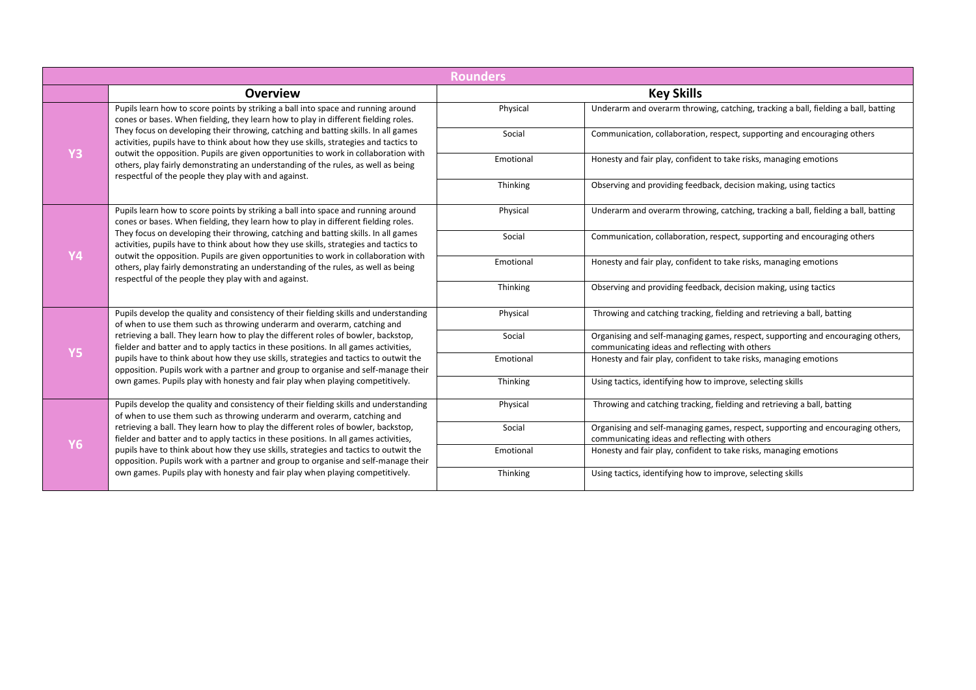|           |                                                                                                                                                                                                                                                                                                                                                                                                                                           | <b>Rounders</b> |                                                                                                                                   |
|-----------|-------------------------------------------------------------------------------------------------------------------------------------------------------------------------------------------------------------------------------------------------------------------------------------------------------------------------------------------------------------------------------------------------------------------------------------------|-----------------|-----------------------------------------------------------------------------------------------------------------------------------|
|           | Overview                                                                                                                                                                                                                                                                                                                                                                                                                                  |                 | <b>Key Skills</b>                                                                                                                 |
|           | Pupils learn how to score points by striking a ball into space and running around<br>cones or bases. When fielding, they learn how to play in different fielding roles.<br>They focus on developing their throwing, catching and batting skills. In all games<br>activities, pupils have to think about how they use skills, strategies and tactics to                                                                                    | Physical        | Underarm and overarm throwing, catching, tracking a ball, fielding a ball, batting                                                |
|           |                                                                                                                                                                                                                                                                                                                                                                                                                                           | Social          | Communication, collaboration, respect, supporting and encouraging others                                                          |
| Y3        | outwit the opposition. Pupils are given opportunities to work in collaboration with<br>others, play fairly demonstrating an understanding of the rules, as well as being<br>respectful of the people they play with and against.                                                                                                                                                                                                          | Emotional       | Honesty and fair play, confident to take risks, managing emotions                                                                 |
|           |                                                                                                                                                                                                                                                                                                                                                                                                                                           | Thinking        | Observing and providing feedback, decision making, using tactics                                                                  |
|           | Pupils learn how to score points by striking a ball into space and running around<br>cones or bases. When fielding, they learn how to play in different fielding roles.                                                                                                                                                                                                                                                                   | Physical        | Underarm and overarm throwing, catching, tracking a ball, fielding a ball, batting                                                |
|           | They focus on developing their throwing, catching and batting skills. In all games<br>activities, pupils have to think about how they use skills, strategies and tactics to<br>outwit the opposition. Pupils are given opportunities to work in collaboration with<br>others, play fairly demonstrating an understanding of the rules, as well as being<br>respectful of the people they play with and against.                           | Social          | Communication, collaboration, respect, supporting and encouraging others                                                          |
| Y4        |                                                                                                                                                                                                                                                                                                                                                                                                                                           | Emotional       | Honesty and fair play, confident to take risks, managing emotions                                                                 |
|           |                                                                                                                                                                                                                                                                                                                                                                                                                                           | Thinking        | Observing and providing feedback, decision making, using tactics                                                                  |
|           | Pupils develop the quality and consistency of their fielding skills and understanding<br>of when to use them such as throwing underarm and overarm, catching and                                                                                                                                                                                                                                                                          | Physical        | Throwing and catching tracking, fielding and retrieving a ball, batting                                                           |
| <b>Y5</b> | retrieving a ball. They learn how to play the different roles of bowler, backstop,<br>fielder and batter and to apply tactics in these positions. In all games activities,<br>pupils have to think about how they use skills, strategies and tactics to outwit the<br>opposition. Pupils work with a partner and group to organise and self-manage their<br>own games. Pupils play with honesty and fair play when playing competitively. | Social          | Organising and self-managing games, respect, supporting and encouraging others,<br>communicating ideas and reflecting with others |
|           |                                                                                                                                                                                                                                                                                                                                                                                                                                           | Emotional       | Honesty and fair play, confident to take risks, managing emotions                                                                 |
|           |                                                                                                                                                                                                                                                                                                                                                                                                                                           | Thinking        | Using tactics, identifying how to improve, selecting skills                                                                       |
| <b>Y6</b> | Pupils develop the quality and consistency of their fielding skills and understanding<br>of when to use them such as throwing underarm and overarm, catching and<br>retrieving a ball. They learn how to play the different roles of bowler, backstop,<br>fielder and batter and to apply tactics in these positions. In all games activities,                                                                                            | Physical        | Throwing and catching tracking, fielding and retrieving a ball, batting                                                           |
|           |                                                                                                                                                                                                                                                                                                                                                                                                                                           | Social          | Organising and self-managing games, respect, supporting and encouraging others,<br>communicating ideas and reflecting with others |
|           | pupils have to think about how they use skills, strategies and tactics to outwit the<br>opposition. Pupils work with a partner and group to organise and self-manage their                                                                                                                                                                                                                                                                | Emotional       | Honesty and fair play, confident to take risks, managing emotions                                                                 |
|           | own games. Pupils play with honesty and fair play when playing competitively.                                                                                                                                                                                                                                                                                                                                                             | Thinking        | Using tactics, identifying how to improve, selecting skills                                                                       |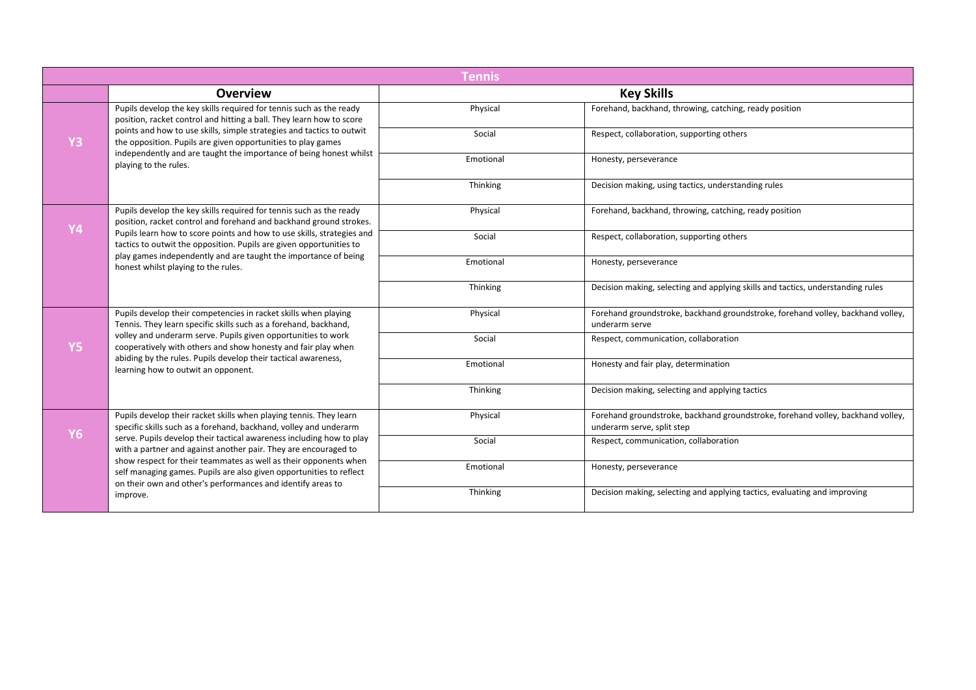|                | <b>Tennis</b>                                                                                                                                                                                                                                                                                                                                                                  |           |                                                                                                               |  |  |
|----------------|--------------------------------------------------------------------------------------------------------------------------------------------------------------------------------------------------------------------------------------------------------------------------------------------------------------------------------------------------------------------------------|-----------|---------------------------------------------------------------------------------------------------------------|--|--|
|                | <b>Overview</b>                                                                                                                                                                                                                                                                                                                                                                |           | <b>Key Skills</b>                                                                                             |  |  |
|                | Pupils develop the key skills required for tennis such as the ready<br>position, racket control and hitting a ball. They learn how to score<br>points and how to use skills, simple strategies and tactics to outwit<br>the opposition. Pupils are given opportunities to play games                                                                                           | Physical  | Forehand, backhand, throwing, catching, ready position                                                        |  |  |
| Y <sub>3</sub> |                                                                                                                                                                                                                                                                                                                                                                                | Social    | Respect, collaboration, supporting others                                                                     |  |  |
|                | independently and are taught the importance of being honest whilst<br>playing to the rules.                                                                                                                                                                                                                                                                                    | Emotional | Honesty, perseverance                                                                                         |  |  |
|                |                                                                                                                                                                                                                                                                                                                                                                                | Thinking  | Decision making, using tactics, understanding rules                                                           |  |  |
|                | Pupils develop the key skills required for tennis such as the ready<br>position, racket control and forehand and backhand ground strokes.                                                                                                                                                                                                                                      | Physical  | Forehand, backhand, throwing, catching, ready position                                                        |  |  |
|                | <b>Y4</b><br>Pupils learn how to score points and how to use skills, strategies and<br>tactics to outwit the opposition. Pupils are given opportunities to<br>play games independently and are taught the importance of being<br>honest whilst playing to the rules.                                                                                                           | Social    | Respect, collaboration, supporting others                                                                     |  |  |
|                |                                                                                                                                                                                                                                                                                                                                                                                | Emotional | Honesty, perseverance                                                                                         |  |  |
|                |                                                                                                                                                                                                                                                                                                                                                                                | Thinking  | Decision making, selecting and applying skills and tactics, understanding rules                               |  |  |
|                | Pupils develop their competencies in racket skills when playing<br>Tennis. They learn specific skills such as a forehand, backhand,<br>volley and underarm serve. Pupils given opportunities to work<br>cooperatively with others and show honesty and fair play when<br>abiding by the rules. Pupils develop their tactical awareness,<br>learning how to outwit an opponent. | Physical  | Forehand groundstroke, backhand groundstroke, forehand volley, backhand volley,<br>underarm serve             |  |  |
| <b>Y5</b>      |                                                                                                                                                                                                                                                                                                                                                                                | Social    | Respect, communication, collaboration                                                                         |  |  |
|                |                                                                                                                                                                                                                                                                                                                                                                                | Emotional | Honesty and fair play, determination                                                                          |  |  |
|                |                                                                                                                                                                                                                                                                                                                                                                                | Thinking  | Decision making, selecting and applying tactics                                                               |  |  |
| <b>Y6</b>      | Pupils develop their racket skills when playing tennis. They learn<br>specific skills such as a forehand, backhand, volley and underarm                                                                                                                                                                                                                                        | Physical  | Forehand groundstroke, backhand groundstroke, forehand volley, backhand volley,<br>underarm serve, split step |  |  |
|                | serve. Pupils develop their tactical awareness including how to play<br>with a partner and against another pair. They are encouraged to                                                                                                                                                                                                                                        | Social    | Respect, communication, collaboration                                                                         |  |  |
|                | show respect for their teammates as well as their opponents when<br>self managing games. Pupils are also given opportunities to reflect<br>on their own and other's performances and identify areas to                                                                                                                                                                         | Emotional | Honesty, perseverance                                                                                         |  |  |
|                | improve.                                                                                                                                                                                                                                                                                                                                                                       | Thinking  | Decision making, selecting and applying tactics, evaluating and improving                                     |  |  |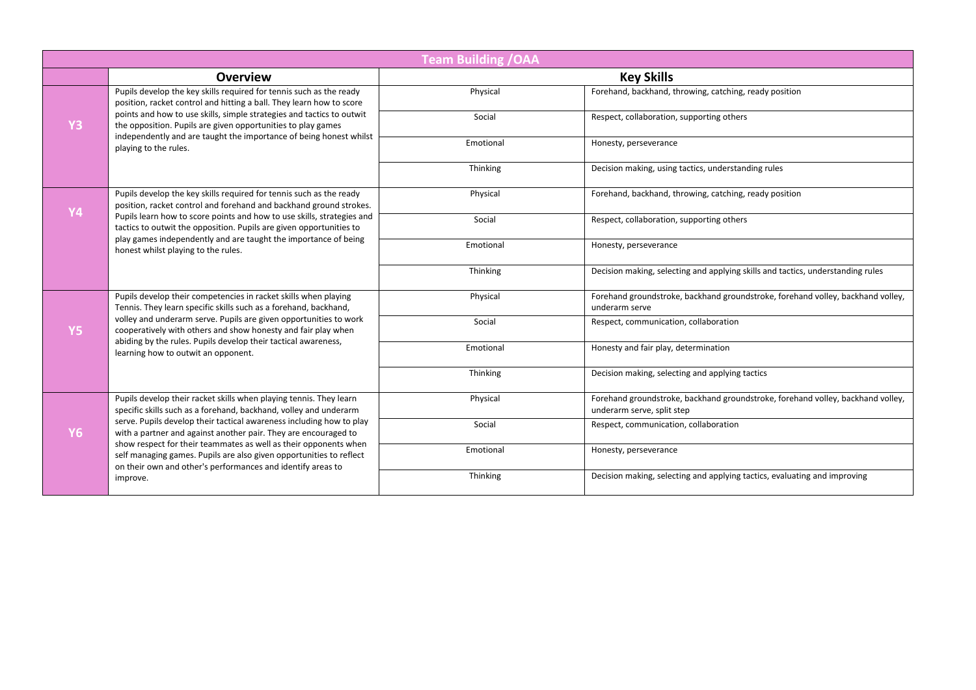|           | <b>Team Building / OAA</b>                                                                                                                                                                                                                                                                                                                                                         |           |                                                                                                               |  |  |
|-----------|------------------------------------------------------------------------------------------------------------------------------------------------------------------------------------------------------------------------------------------------------------------------------------------------------------------------------------------------------------------------------------|-----------|---------------------------------------------------------------------------------------------------------------|--|--|
|           | Overview                                                                                                                                                                                                                                                                                                                                                                           |           | <b>Key Skills</b>                                                                                             |  |  |
|           | Pupils develop the key skills required for tennis such as the ready<br>position, racket control and hitting a ball. They learn how to score<br>points and how to use skills, simple strategies and tactics to outwit<br>the opposition. Pupils are given opportunities to play games                                                                                               | Physical  | Forehand, backhand, throwing, catching, ready position                                                        |  |  |
| <b>Y3</b> |                                                                                                                                                                                                                                                                                                                                                                                    | Social    | Respect, collaboration, supporting others                                                                     |  |  |
|           | independently and are taught the importance of being honest whilst<br>playing to the rules.                                                                                                                                                                                                                                                                                        | Emotional | Honesty, perseverance                                                                                         |  |  |
|           |                                                                                                                                                                                                                                                                                                                                                                                    | Thinking  | Decision making, using tactics, understanding rules                                                           |  |  |
| <b>Y4</b> | Pupils develop the key skills required for tennis such as the ready<br>position, racket control and forehand and backhand ground strokes.                                                                                                                                                                                                                                          | Physical  | Forehand, backhand, throwing, catching, ready position                                                        |  |  |
|           | Pupils learn how to score points and how to use skills, strategies and<br>tactics to outwit the opposition. Pupils are given opportunities to                                                                                                                                                                                                                                      | Social    | Respect, collaboration, supporting others                                                                     |  |  |
|           | play games independently and are taught the importance of being<br>honest whilst playing to the rules.                                                                                                                                                                                                                                                                             | Emotional | Honesty, perseverance                                                                                         |  |  |
|           |                                                                                                                                                                                                                                                                                                                                                                                    | Thinking  | Decision making, selecting and applying skills and tactics, understanding rules                               |  |  |
| <b>Y5</b> | Pupils develop their competencies in racket skills when playing<br>Tennis. They learn specific skills such as a forehand, backhand,<br>volley and underarm serve. Pupils are given opportunities to work<br>cooperatively with others and show honesty and fair play when<br>abiding by the rules. Pupils develop their tactical awareness,<br>learning how to outwit an opponent. | Physical  | Forehand groundstroke, backhand groundstroke, forehand volley, backhand volley,<br>underarm serve             |  |  |
|           |                                                                                                                                                                                                                                                                                                                                                                                    | Social    | Respect, communication, collaboration                                                                         |  |  |
|           |                                                                                                                                                                                                                                                                                                                                                                                    | Emotional | Honesty and fair play, determination                                                                          |  |  |
|           |                                                                                                                                                                                                                                                                                                                                                                                    | Thinking  | Decision making, selecting and applying tactics                                                               |  |  |
|           | Pupils develop their racket skills when playing tennis. They learn<br>specific skills such as a forehand, backhand, volley and underarm<br>serve. Pupils develop their tactical awareness including how to play<br>with a partner and against another pair. They are encouraged to                                                                                                 | Physical  | Forehand groundstroke, backhand groundstroke, forehand volley, backhand volley,<br>underarm serve, split step |  |  |
| <b>Y6</b> |                                                                                                                                                                                                                                                                                                                                                                                    | Social    | Respect, communication, collaboration                                                                         |  |  |
|           | show respect for their teammates as well as their opponents when<br>self managing games. Pupils are also given opportunities to reflect<br>on their own and other's performances and identify areas to                                                                                                                                                                             | Emotional | Honesty, perseverance                                                                                         |  |  |
|           | improve.                                                                                                                                                                                                                                                                                                                                                                           | Thinking  | Decision making, selecting and applying tactics, evaluating and improving                                     |  |  |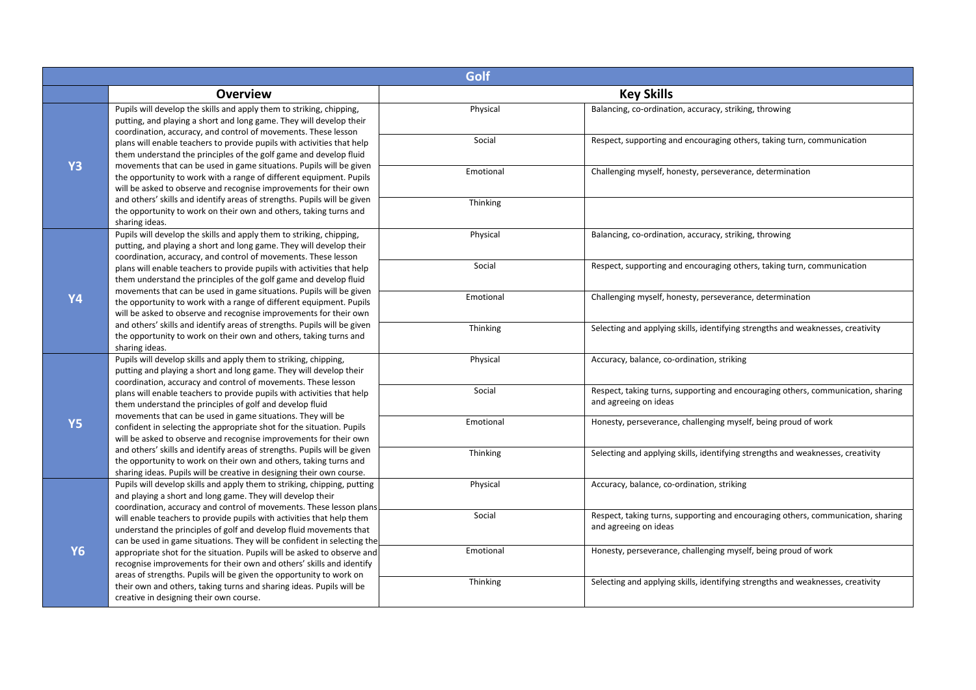|           |                                                                                                                                                                                                                        | Golf      |                                                                                                           |  |  |
|-----------|------------------------------------------------------------------------------------------------------------------------------------------------------------------------------------------------------------------------|-----------|-----------------------------------------------------------------------------------------------------------|--|--|
|           | <b>Overview</b>                                                                                                                                                                                                        |           | <b>Key Skills</b>                                                                                         |  |  |
|           | Pupils will develop the skills and apply them to striking, chipping,<br>putting, and playing a short and long game. They will develop their<br>coordination, accuracy, and control of movements. These lesson          | Physical  | Balancing, co-ordination, accuracy, striking, throwing                                                    |  |  |
| <b>Y3</b> | plans will enable teachers to provide pupils with activities that help<br>them understand the principles of the golf game and develop fluid                                                                            | Social    | Respect, supporting and encouraging others, taking turn, communication                                    |  |  |
|           | movements that can be used in game situations. Pupils will be given<br>the opportunity to work with a range of different equipment. Pupils<br>will be asked to observe and recognise improvements for their own        | Emotional | Challenging myself, honesty, perseverance, determination                                                  |  |  |
|           | and others' skills and identify areas of strengths. Pupils will be given<br>the opportunity to work on their own and others, taking turns and<br>sharing ideas.                                                        | Thinking  |                                                                                                           |  |  |
|           | Pupils will develop the skills and apply them to striking, chipping,<br>putting, and playing a short and long game. They will develop their<br>coordination, accuracy, and control of movements. These lesson          | Physical  | Balancing, co-ordination, accuracy, striking, throwing                                                    |  |  |
|           | plans will enable teachers to provide pupils with activities that help<br>them understand the principles of the golf game and develop fluid                                                                            | Social    | Respect, supporting and encouraging others, taking turn, communication                                    |  |  |
| <b>Y4</b> | movements that can be used in game situations. Pupils will be given<br>the opportunity to work with a range of different equipment. Pupils<br>will be asked to observe and recognise improvements for their own        | Emotional | Challenging myself, honesty, perseverance, determination                                                  |  |  |
|           | and others' skills and identify areas of strengths. Pupils will be given<br>the opportunity to work on their own and others, taking turns and<br>sharing ideas.                                                        | Thinking  | Selecting and applying skills, identifying strengths and weaknesses, creativity                           |  |  |
|           | Pupils will develop skills and apply them to striking, chipping,<br>putting and playing a short and long game. They will develop their<br>coordination, accuracy and control of movements. These lesson                | Physical  | Accuracy, balance, co-ordination, striking                                                                |  |  |
|           | plans will enable teachers to provide pupils with activities that help<br>them understand the principles of golf and develop fluid                                                                                     | Social    | Respect, taking turns, supporting and encouraging others, communication, sharing<br>and agreeing on ideas |  |  |
| <b>Y5</b> | movements that can be used in game situations. They will be<br>confident in selecting the appropriate shot for the situation. Pupils<br>will be asked to observe and recognise improvements for their own              | Emotional | Honesty, perseverance, challenging myself, being proud of work                                            |  |  |
|           | and others' skills and identify areas of strengths. Pupils will be given<br>the opportunity to work on their own and others, taking turns and<br>sharing ideas. Pupils will be creative in designing their own course. | Thinking  | Selecting and applying skills, identifying strengths and weaknesses, creativity                           |  |  |
| <b>Y6</b> | Pupils will develop skills and apply them to striking, chipping, putting<br>and playing a short and long game. They will develop their<br>coordination, accuracy and control of movements. These lesson plans          | Physical  | Accuracy, balance, co-ordination, striking                                                                |  |  |
|           | will enable teachers to provide pupils with activities that help them<br>understand the principles of golf and develop fluid movements that<br>can be used in game situations. They will be confident in selecting the | Social    | Respect, taking turns, supporting and encouraging others, communication, sharing<br>and agreeing on ideas |  |  |
|           | appropriate shot for the situation. Pupils will be asked to observe and<br>recognise improvements for their own and others' skills and identify<br>areas of strengths. Pupils will be given the opportunity to work on | Emotional | Honesty, perseverance, challenging myself, being proud of work                                            |  |  |
|           | their own and others, taking turns and sharing ideas. Pupils will be<br>creative in designing their own course.                                                                                                        | Thinking  | Selecting and applying skills, identifying strengths and weaknesses, creativity                           |  |  |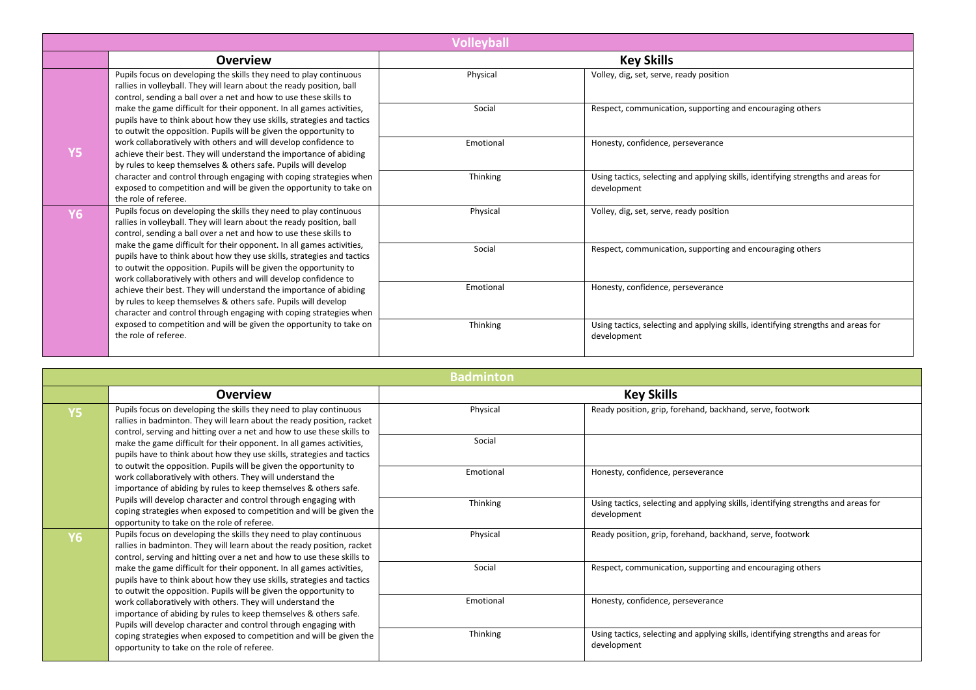|                |                                                                                                                                                                                                                                                                                                                                                                                                                                                                                                                                                                                                                                                                                                                                                                                                                         | <b>Volleyball</b> |                                                                                                  |
|----------------|-------------------------------------------------------------------------------------------------------------------------------------------------------------------------------------------------------------------------------------------------------------------------------------------------------------------------------------------------------------------------------------------------------------------------------------------------------------------------------------------------------------------------------------------------------------------------------------------------------------------------------------------------------------------------------------------------------------------------------------------------------------------------------------------------------------------------|-------------------|--------------------------------------------------------------------------------------------------|
|                | <b>Overview</b>                                                                                                                                                                                                                                                                                                                                                                                                                                                                                                                                                                                                                                                                                                                                                                                                         |                   | <b>Key Skills</b>                                                                                |
| <b>Y5</b>      | Pupils focus on developing the skills they need to play continuous<br>rallies in volleyball. They will learn about the ready position, ball<br>control, sending a ball over a net and how to use these skills to<br>make the game difficult for their opponent. In all games activities,<br>pupils have to think about how they use skills, strategies and tactics<br>to outwit the opposition. Pupils will be given the opportunity to<br>work collaboratively with others and will develop confidence to<br>achieve their best. They will understand the importance of abiding<br>by rules to keep themselves & others safe. Pupils will develop<br>character and control through engaging with coping strategies when<br>exposed to competition and will be given the opportunity to take on<br>the role of referee. | Physical          | Volley, dig, set, serve, ready position                                                          |
|                |                                                                                                                                                                                                                                                                                                                                                                                                                                                                                                                                                                                                                                                                                                                                                                                                                         | Social            | Respect, communication, supporting and encouraging others                                        |
|                |                                                                                                                                                                                                                                                                                                                                                                                                                                                                                                                                                                                                                                                                                                                                                                                                                         | Emotional         | Honesty, confidence, perseverance                                                                |
|                |                                                                                                                                                                                                                                                                                                                                                                                                                                                                                                                                                                                                                                                                                                                                                                                                                         | Thinking          | Using tactics, selecting and applying skills, identifying strengths and areas for<br>development |
| Y <sub>6</sub> | Pupils focus on developing the skills they need to play continuous<br>rallies in volleyball. They will learn about the ready position, ball<br>control, sending a ball over a net and how to use these skills to<br>make the game difficult for their opponent. In all games activities,<br>pupils have to think about how they use skills, strategies and tactics<br>to outwit the opposition. Pupils will be given the opportunity to<br>work collaboratively with others and will develop confidence to<br>achieve their best. They will understand the importance of abiding<br>by rules to keep themselves & others safe. Pupils will develop<br>character and control through engaging with coping strategies when                                                                                                | Physical          | Volley, dig, set, serve, ready position                                                          |
|                |                                                                                                                                                                                                                                                                                                                                                                                                                                                                                                                                                                                                                                                                                                                                                                                                                         | Social            | Respect, communication, supporting and encouraging others                                        |
|                |                                                                                                                                                                                                                                                                                                                                                                                                                                                                                                                                                                                                                                                                                                                                                                                                                         | Emotional         | Honesty, confidence, perseverance                                                                |
|                | exposed to competition and will be given the opportunity to take on<br>the role of referee.                                                                                                                                                                                                                                                                                                                                                                                                                                                                                                                                                                                                                                                                                                                             | Thinking          | Using tactics, selecting and applying skills, identifying strengths and areas for<br>development |

| <b>Badminton</b>                                                                                                                                                                      |                                                                                                                                                                                                                                                                                                                                                                                                                          |                                                                                                  |                                                                                                  |  |
|---------------------------------------------------------------------------------------------------------------------------------------------------------------------------------------|--------------------------------------------------------------------------------------------------------------------------------------------------------------------------------------------------------------------------------------------------------------------------------------------------------------------------------------------------------------------------------------------------------------------------|--------------------------------------------------------------------------------------------------|--------------------------------------------------------------------------------------------------|--|
|                                                                                                                                                                                       | <b>Overview</b>                                                                                                                                                                                                                                                                                                                                                                                                          |                                                                                                  | <b>Key Skills</b>                                                                                |  |
| <b>Y5</b>                                                                                                                                                                             | Pupils focus on developing the skills they need to play continuous<br>rallies in badminton. They will learn about the ready position, racket<br>control, serving and hitting over a net and how to use these skills to                                                                                                                                                                                                   | Physical                                                                                         | Ready position, grip, forehand, backhand, serve, footwork                                        |  |
|                                                                                                                                                                                       | make the game difficult for their opponent. In all games activities,<br>pupils have to think about how they use skills, strategies and tactics<br>to outwit the opposition. Pupils will be given the opportunity to<br>work collaboratively with others. They will understand the<br>importance of abiding by rules to keep themselves & others safe.                                                                    | Social                                                                                           |                                                                                                  |  |
| Pupils will develop character and control through engaging with<br>coping strategies when exposed to competition and will be given the<br>opportunity to take on the role of referee. |                                                                                                                                                                                                                                                                                                                                                                                                                          | Emotional                                                                                        | Honesty, confidence, perseverance                                                                |  |
|                                                                                                                                                                                       | Thinking                                                                                                                                                                                                                                                                                                                                                                                                                 | Using tactics, selecting and applying skills, identifying strengths and areas for<br>development |                                                                                                  |  |
| Y <sub>6</sub>                                                                                                                                                                        | Pupils focus on developing the skills they need to play continuous<br>rallies in badminton. They will learn about the ready position, racket<br>control, serving and hitting over a net and how to use these skills to                                                                                                                                                                                                   | Physical                                                                                         | Ready position, grip, forehand, backhand, serve, footwork                                        |  |
|                                                                                                                                                                                       | make the game difficult for their opponent. In all games activities,<br>pupils have to think about how they use skills, strategies and tactics<br>to outwit the opposition. Pupils will be given the opportunity to<br>work collaboratively with others. They will understand the<br>importance of abiding by rules to keep themselves & others safe.<br>Pupils will develop character and control through engaging with | Social                                                                                           | Respect, communication, supporting and encouraging others                                        |  |
|                                                                                                                                                                                       |                                                                                                                                                                                                                                                                                                                                                                                                                          | Emotional                                                                                        | Honesty, confidence, perseverance                                                                |  |
|                                                                                                                                                                                       | coping strategies when exposed to competition and will be given the<br>opportunity to take on the role of referee.                                                                                                                                                                                                                                                                                                       | Thinking                                                                                         | Using tactics, selecting and applying skills, identifying strengths and areas for<br>development |  |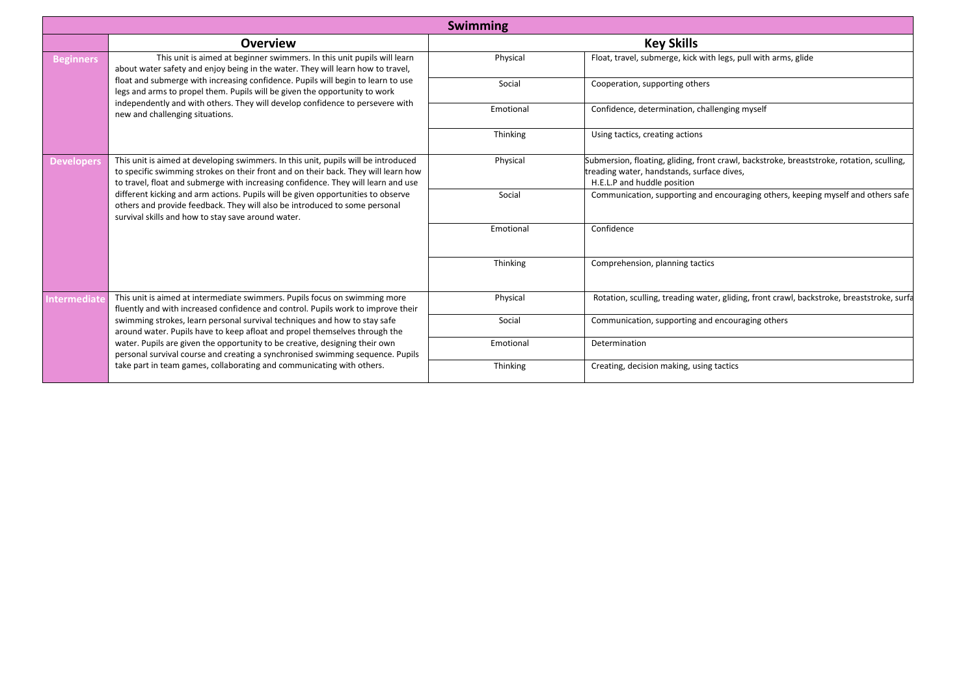|                   |                                                                                                                                                                                                                                                               | <b>Swimming</b> |                                                                                                                                                                        |
|-------------------|---------------------------------------------------------------------------------------------------------------------------------------------------------------------------------------------------------------------------------------------------------------|-----------------|------------------------------------------------------------------------------------------------------------------------------------------------------------------------|
|                   | <b>Overview</b>                                                                                                                                                                                                                                               |                 | <b>Key Skills</b>                                                                                                                                                      |
| <b>Beginners</b>  | This unit is aimed at beginner swimmers. In this unit pupils will learn<br>about water safety and enjoy being in the water. They will learn how to travel,                                                                                                    | Physical        | Float, travel, submerge, kick with legs, pull with arms, glide                                                                                                         |
|                   | float and submerge with increasing confidence. Pupils will begin to learn to use<br>legs and arms to propel them. Pupils will be given the opportunity to work                                                                                                | Social          | Cooperation, supporting others                                                                                                                                         |
|                   | independently and with others. They will develop confidence to persevere with<br>new and challenging situations.                                                                                                                                              | Emotional       | Confidence, determination, challenging myself                                                                                                                          |
|                   |                                                                                                                                                                                                                                                               | Thinking        | Using tactics, creating actions                                                                                                                                        |
| <b>Developers</b> | This unit is aimed at developing swimmers. In this unit, pupils will be introduced<br>to specific swimming strokes on their front and on their back. They will learn how<br>to travel, float and submerge with increasing confidence. They will learn and use | Physical        | Submersion, floating, gliding, front crawl, backstroke, breaststroke, rotation, sculling,<br>treading water, handstands, surface dives,<br>H.E.L.P and huddle position |
|                   | different kicking and arm actions. Pupils will be given opportunities to observe<br>others and provide feedback. They will also be introduced to some personal<br>survival skills and how to stay save around water.                                          | Social          | Communication, supporting and encouraging others, keeping myself and others safe                                                                                       |
|                   |                                                                                                                                                                                                                                                               | Emotional       | Confidence                                                                                                                                                             |
|                   |                                                                                                                                                                                                                                                               | Thinking        | Comprehension, planning tactics                                                                                                                                        |
| ntermediat        | This unit is aimed at intermediate swimmers. Pupils focus on swimming more<br>fluently and with increased confidence and control. Pupils work to improve their                                                                                                | Physical        | Rotation, sculling, treading water, gliding, front crawl, backstroke, breaststroke, surfa                                                                              |
|                   | swimming strokes, learn personal survival techniques and how to stay safe<br>around water. Pupils have to keep afloat and propel themselves through the                                                                                                       | Social          | Communication, supporting and encouraging others                                                                                                                       |
|                   | water. Pupils are given the opportunity to be creative, designing their own<br>personal survival course and creating a synchronised swimming sequence. Pupils                                                                                                 | Emotional       | Determination                                                                                                                                                          |
|                   | take part in team games, collaborating and communicating with others.                                                                                                                                                                                         | Thinking        | Creating, decision making, using tactics                                                                                                                               |